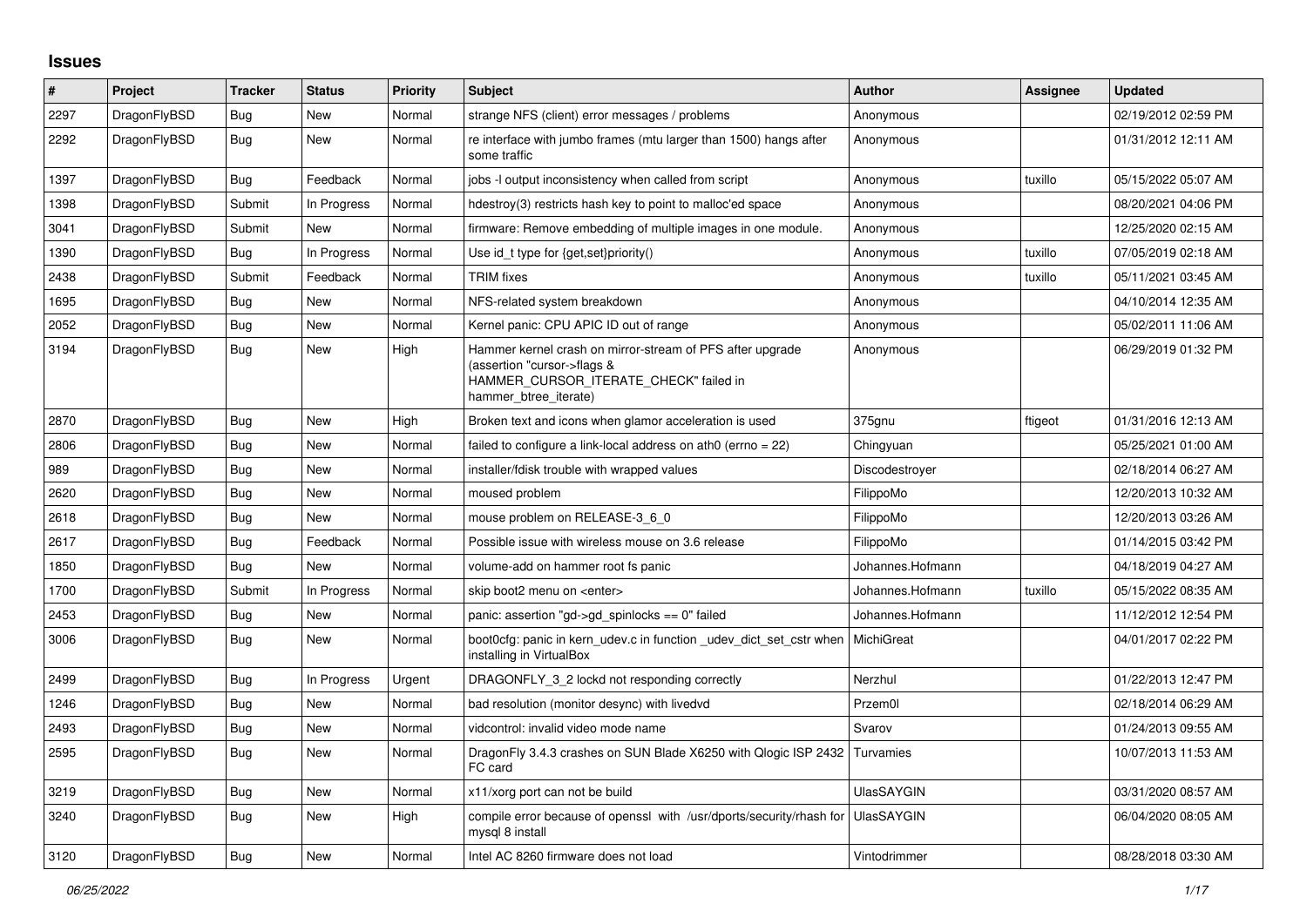## **Issues**

| #    | Project      | <b>Tracker</b> | <b>Status</b> | <b>Priority</b> | <b>Subject</b>                                                                                                                                              | <b>Author</b>     | Assignee | <b>Updated</b>      |
|------|--------------|----------------|---------------|-----------------|-------------------------------------------------------------------------------------------------------------------------------------------------------------|-------------------|----------|---------------------|
| 2297 | DragonFlyBSD | Bug            | New           | Normal          | strange NFS (client) error messages / problems                                                                                                              | Anonymous         |          | 02/19/2012 02:59 PM |
| 2292 | DragonFlyBSD | <b>Bug</b>     | <b>New</b>    | Normal          | re interface with jumbo frames (mtu larger than 1500) hangs after<br>some traffic                                                                           | Anonymous         |          | 01/31/2012 12:11 AM |
| 1397 | DragonFlyBSD | <b>Bug</b>     | Feedback      | Normal          | jobs -I output inconsistency when called from script                                                                                                        | Anonymous         | tuxillo  | 05/15/2022 05:07 AM |
| 1398 | DragonFlyBSD | Submit         | In Progress   | Normal          | hdestroy(3) restricts hash key to point to malloc'ed space                                                                                                  | Anonymous         |          | 08/20/2021 04:06 PM |
| 3041 | DragonFlyBSD | Submit         | New           | Normal          | firmware: Remove embedding of multiple images in one module.                                                                                                | Anonymous         |          | 12/25/2020 02:15 AM |
| 1390 | DragonFlyBSD | <b>Bug</b>     | In Progress   | Normal          | Use id_t type for {get,set}priority()                                                                                                                       | Anonymous         | tuxillo  | 07/05/2019 02:18 AM |
| 2438 | DragonFlyBSD | Submit         | Feedback      | Normal          | <b>TRIM</b> fixes                                                                                                                                           | Anonymous         | tuxillo  | 05/11/2021 03:45 AM |
| 1695 | DragonFlyBSD | Bug            | New           | Normal          | NFS-related system breakdown                                                                                                                                | Anonymous         |          | 04/10/2014 12:35 AM |
| 2052 | DragonFlyBSD | Bug            | New           | Normal          | Kernel panic: CPU APIC ID out of range                                                                                                                      | Anonymous         |          | 05/02/2011 11:06 AM |
| 3194 | DragonFlyBSD | Bug            | New           | High            | Hammer kernel crash on mirror-stream of PFS after upgrade<br>(assertion "cursor->flags &<br>HAMMER CURSOR ITERATE CHECK" failed in<br>hammer btree iterate) | Anonymous         |          | 06/29/2019 01:32 PM |
| 2870 | DragonFlyBSD | <b>Bug</b>     | New           | High            | Broken text and icons when glamor acceleration is used                                                                                                      | 375gnu            | ftigeot  | 01/31/2016 12:13 AM |
| 2806 | DragonFlyBSD | Bug            | New           | Normal          | failed to configure a link-local address on ath0 (errno $= 22$ )                                                                                            | Chingyuan         |          | 05/25/2021 01:00 AM |
| 989  | DragonFlyBSD | Bug            | New           | Normal          | installer/fdisk trouble with wrapped values                                                                                                                 | Discodestroyer    |          | 02/18/2014 06:27 AM |
| 2620 | DragonFlyBSD | Bug            | New           | Normal          | moused problem                                                                                                                                              | FilippoMo         |          | 12/20/2013 10:32 AM |
| 2618 | DragonFlyBSD | Bug            | New           | Normal          | mouse problem on RELEASE-3 6 0                                                                                                                              | FilippoMo         |          | 12/20/2013 03:26 AM |
| 2617 | DragonFlyBSD | Bug            | Feedback      | Normal          | Possible issue with wireless mouse on 3.6 release                                                                                                           | FilippoMo         |          | 01/14/2015 03:42 PM |
| 1850 | DragonFlyBSD | <b>Bug</b>     | New           | Normal          | volume-add on hammer root fs panic                                                                                                                          | Johannes.Hofmann  |          | 04/18/2019 04:27 AM |
| 1700 | DragonFlyBSD | Submit         | In Progress   | Normal          | skip boot2 menu on <enter></enter>                                                                                                                          | Johannes.Hofmann  | tuxillo  | 05/15/2022 08:35 AM |
| 2453 | DragonFlyBSD | <b>Bug</b>     | New           | Normal          | panic: assertion "gd->gd_spinlocks == 0" failed                                                                                                             | Johannes.Hofmann  |          | 11/12/2012 12:54 PM |
| 3006 | DragonFlyBSD | <b>Bug</b>     | <b>New</b>    | Normal          | boot0cfg: panic in kern_udev.c in function _udev_dict_set_cstr when<br>installing in VirtualBox                                                             | MichiGreat        |          | 04/01/2017 02:22 PM |
| 2499 | DragonFlyBSD | <b>Bug</b>     | In Progress   | Urgent          | DRAGONFLY_3_2 lockd not responding correctly                                                                                                                | Nerzhul           |          | 01/22/2013 12:47 PM |
| 1246 | DragonFlyBSD | Bug            | New           | Normal          | bad resolution (monitor desync) with livedvd                                                                                                                | Przem0l           |          | 02/18/2014 06:29 AM |
| 2493 | DragonFlyBSD | Bug            | New           | Normal          | vidcontrol: invalid video mode name                                                                                                                         | Svarov            |          | 01/24/2013 09:55 AM |
| 2595 | DragonFlyBSD | Bug            | New           | Normal          | DragonFly 3.4.3 crashes on SUN Blade X6250 with Qlogic ISP 2432<br>FC card                                                                                  | Turvamies         |          | 10/07/2013 11:53 AM |
| 3219 | DragonFlyBSD | Bug            | New           | Normal          | x11/xorg port can not be build                                                                                                                              | <b>UlasSAYGIN</b> |          | 03/31/2020 08:57 AM |
| 3240 | DragonFlyBSD | <b>Bug</b>     | New           | High            | compile error because of openssl with /usr/dports/security/rhash for<br>mysql 8 install                                                                     | <b>UlasSAYGIN</b> |          | 06/04/2020 08:05 AM |
| 3120 | DragonFlyBSD | <b>Bug</b>     | <b>New</b>    | Normal          | Intel AC 8260 firmware does not load                                                                                                                        | Vintodrimmer      |          | 08/28/2018 03:30 AM |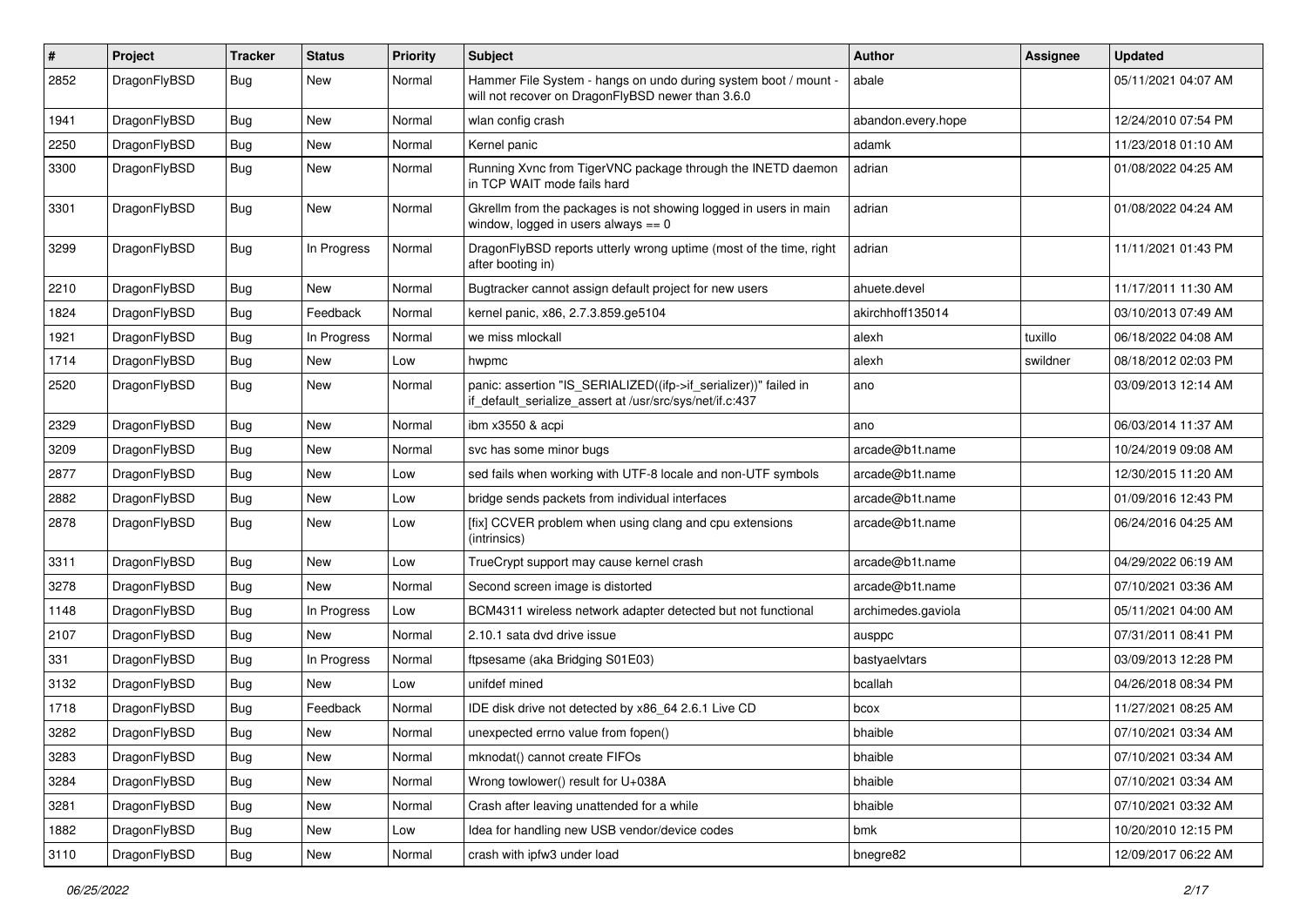| $\pmb{\#}$ | Project      | <b>Tracker</b> | <b>Status</b> | <b>Priority</b> | Subject                                                                                                                      | Author             | <b>Assignee</b> | <b>Updated</b>      |
|------------|--------------|----------------|---------------|-----------------|------------------------------------------------------------------------------------------------------------------------------|--------------------|-----------------|---------------------|
| 2852       | DragonFlyBSD | Bug            | New           | Normal          | Hammer File System - hangs on undo during system boot / mount -<br>will not recover on DragonFlyBSD newer than 3.6.0         | abale              |                 | 05/11/2021 04:07 AM |
| 1941       | DragonFlyBSD | <b>Bug</b>     | <b>New</b>    | Normal          | wlan config crash                                                                                                            | abandon.every.hope |                 | 12/24/2010 07:54 PM |
| 2250       | DragonFlyBSD | Bug            | <b>New</b>    | Normal          | Kernel panic                                                                                                                 | adamk              |                 | 11/23/2018 01:10 AM |
| 3300       | DragonFlyBSD | Bug            | New           | Normal          | Running Xvnc from TigerVNC package through the INETD daemon<br>in TCP WAIT mode fails hard                                   | adrian             |                 | 01/08/2022 04:25 AM |
| 3301       | DragonFlyBSD | Bug            | New           | Normal          | Gkrellm from the packages is not showing logged in users in main<br>window, logged in users always $== 0$                    | adrian             |                 | 01/08/2022 04:24 AM |
| 3299       | DragonFlyBSD | Bug            | In Progress   | Normal          | DragonFlyBSD reports utterly wrong uptime (most of the time, right<br>after booting in)                                      | adrian             |                 | 11/11/2021 01:43 PM |
| 2210       | DragonFlyBSD | <b>Bug</b>     | New           | Normal          | Bugtracker cannot assign default project for new users                                                                       | ahuete.devel       |                 | 11/17/2011 11:30 AM |
| 1824       | DragonFlyBSD | Bug            | Feedback      | Normal          | kernel panic, x86, 2.7.3.859.ge5104                                                                                          | akirchhoff135014   |                 | 03/10/2013 07:49 AM |
| 1921       | DragonFlyBSD | Bug            | In Progress   | Normal          | we miss mlockall                                                                                                             | alexh              | tuxillo         | 06/18/2022 04:08 AM |
| 1714       | DragonFlyBSD | <b>Bug</b>     | New           | Low             | hwpmc                                                                                                                        | alexh              | swildner        | 08/18/2012 02:03 PM |
| 2520       | DragonFlyBSD | Bug            | New           | Normal          | panic: assertion "IS_SERIALIZED((ifp->if_serializer))" failed in<br>if_default_serialize_assert at /usr/src/sys/net/if.c:437 | ano                |                 | 03/09/2013 12:14 AM |
| 2329       | DragonFlyBSD | Bug            | <b>New</b>    | Normal          | ibm x3550 & acpi                                                                                                             | ano                |                 | 06/03/2014 11:37 AM |
| 3209       | DragonFlyBSD | <b>Bug</b>     | New           | Normal          | svc has some minor bugs                                                                                                      | arcade@b1t.name    |                 | 10/24/2019 09:08 AM |
| 2877       | DragonFlyBSD | Bug            | New           | Low             | sed fails when working with UTF-8 locale and non-UTF symbols                                                                 | arcade@b1t.name    |                 | 12/30/2015 11:20 AM |
| 2882       | DragonFlyBSD | Bug            | <b>New</b>    | Low             | bridge sends packets from individual interfaces                                                                              | arcade@b1t.name    |                 | 01/09/2016 12:43 PM |
| 2878       | DragonFlyBSD | <b>Bug</b>     | New           | Low             | [fix] CCVER problem when using clang and cpu extensions<br>(intrinsics)                                                      | arcade@b1t.name    |                 | 06/24/2016 04:25 AM |
| 3311       | DragonFlyBSD | Bug            | <b>New</b>    | Low             | TrueCrypt support may cause kernel crash                                                                                     | arcade@b1t.name    |                 | 04/29/2022 06:19 AM |
| 3278       | DragonFlyBSD | Bug            | New           | Normal          | Second screen image is distorted                                                                                             | arcade@b1t.name    |                 | 07/10/2021 03:36 AM |
| 1148       | DragonFlyBSD | Bug            | In Progress   | Low             | BCM4311 wireless network adapter detected but not functional                                                                 | archimedes.gaviola |                 | 05/11/2021 04:00 AM |
| 2107       | DragonFlyBSD | Bug            | New           | Normal          | 2.10.1 sata dvd drive issue                                                                                                  | ausppc             |                 | 07/31/2011 08:41 PM |
| 331        | DragonFlyBSD | <b>Bug</b>     | In Progress   | Normal          | ftpsesame (aka Bridging S01E03)                                                                                              | bastyaelvtars      |                 | 03/09/2013 12:28 PM |
| 3132       | DragonFlyBSD | Bug            | New           | Low             | unifdef mined                                                                                                                | bcallah            |                 | 04/26/2018 08:34 PM |
| 1718       | DragonFlyBSD | <b>Bug</b>     | Feedback      | Normal          | IDE disk drive not detected by x86_64 2.6.1 Live CD                                                                          | bcox               |                 | 11/27/2021 08:25 AM |
| 3282       | DragonFlyBSD | Bug            | New           | Normal          | unexpected errno value from fopen()                                                                                          | bhaible            |                 | 07/10/2021 03:34 AM |
| 3283       | DragonFlyBSD | <b>Bug</b>     | New           | Normal          | mknodat() cannot create FIFOs                                                                                                | bhaible            |                 | 07/10/2021 03:34 AM |
| 3284       | DragonFlyBSD | <b>Bug</b>     | New           | Normal          | Wrong towlower() result for U+038A                                                                                           | bhaible            |                 | 07/10/2021 03:34 AM |
| 3281       | DragonFlyBSD | <b>Bug</b>     | New           | Normal          | Crash after leaving unattended for a while                                                                                   | bhaible            |                 | 07/10/2021 03:32 AM |
| 1882       | DragonFlyBSD | Bug            | New           | Low             | Idea for handling new USB vendor/device codes                                                                                | bmk                |                 | 10/20/2010 12:15 PM |
| 3110       | DragonFlyBSD | Bug            | New           | Normal          | crash with ipfw3 under load                                                                                                  | bnegre82           |                 | 12/09/2017 06:22 AM |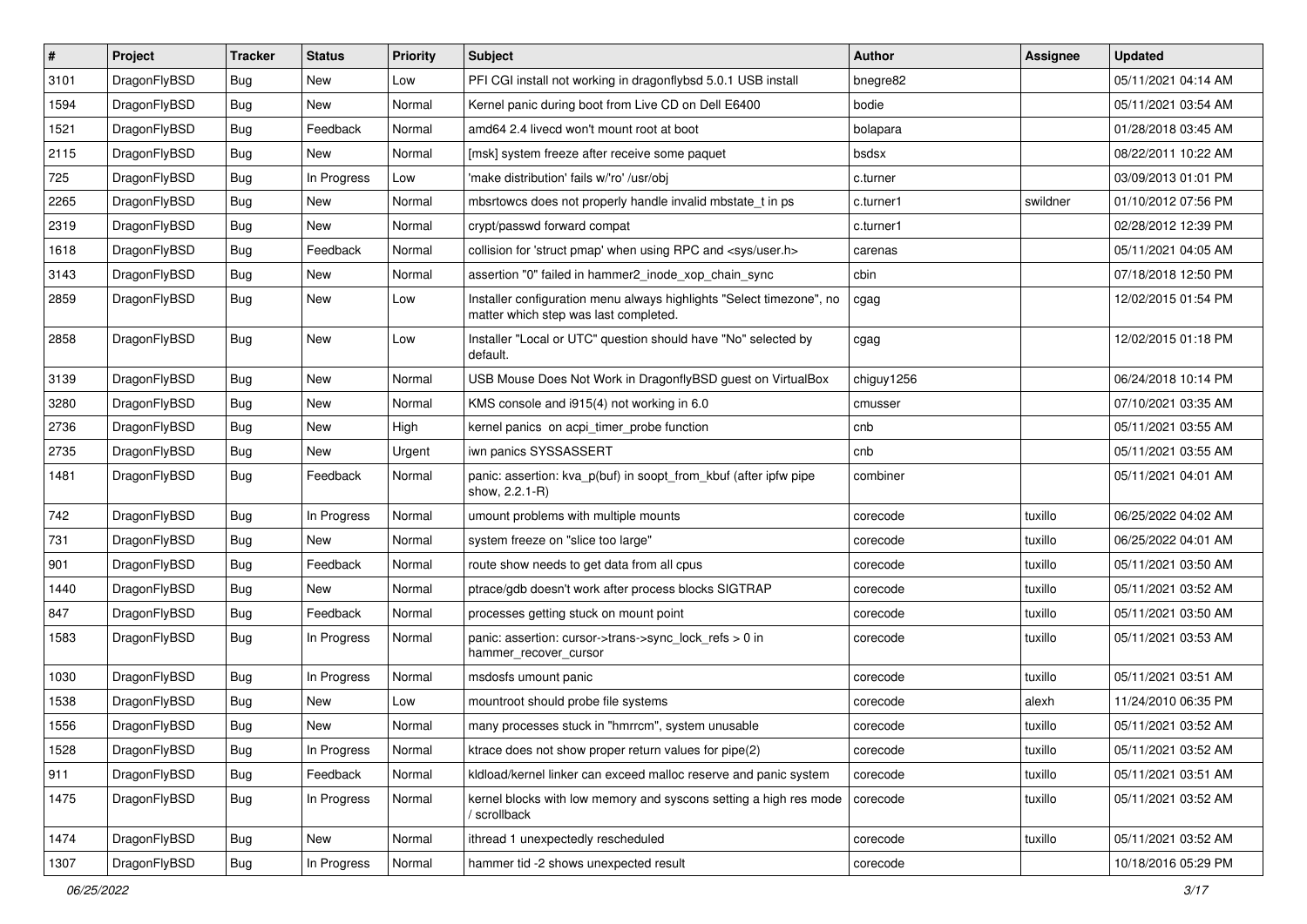| $\vert$ # | Project      | <b>Tracker</b> | <b>Status</b> | <b>Priority</b> | <b>Subject</b>                                                                                                | <b>Author</b> | Assignee | <b>Updated</b>      |
|-----------|--------------|----------------|---------------|-----------------|---------------------------------------------------------------------------------------------------------------|---------------|----------|---------------------|
| 3101      | DragonFlyBSD | <b>Bug</b>     | New           | Low             | PFI CGI install not working in dragonflybsd 5.0.1 USB install                                                 | bnegre82      |          | 05/11/2021 04:14 AM |
| 1594      | DragonFlyBSD | <b>Bug</b>     | New           | Normal          | Kernel panic during boot from Live CD on Dell E6400                                                           | bodie         |          | 05/11/2021 03:54 AM |
| 1521      | DragonFlyBSD | Bug            | Feedback      | Normal          | amd64 2.4 livecd won't mount root at boot                                                                     | bolapara      |          | 01/28/2018 03:45 AM |
| 2115      | DragonFlyBSD | <b>Bug</b>     | New           | Normal          | [msk] system freeze after receive some paquet                                                                 | bsdsx         |          | 08/22/2011 10:22 AM |
| 725       | DragonFlyBSD | Bug            | In Progress   | Low             | 'make distribution' fails w/'ro' /usr/obj                                                                     | c.turner      |          | 03/09/2013 01:01 PM |
| 2265      | DragonFlyBSD | <b>Bug</b>     | New           | Normal          | mbsrtowcs does not properly handle invalid mbstate t in ps                                                    | c.turner1     | swildner | 01/10/2012 07:56 PM |
| 2319      | DragonFlyBSD | <b>Bug</b>     | New           | Normal          | crypt/passwd forward compat                                                                                   | c.turner1     |          | 02/28/2012 12:39 PM |
| 1618      | DragonFlyBSD | <b>Bug</b>     | Feedback      | Normal          | collision for 'struct pmap' when using RPC and <sys user.h=""></sys>                                          | carenas       |          | 05/11/2021 04:05 AM |
| 3143      | DragonFlyBSD | <b>Bug</b>     | <b>New</b>    | Normal          | assertion "0" failed in hammer2_inode_xop_chain_sync                                                          | cbin          |          | 07/18/2018 12:50 PM |
| 2859      | DragonFlyBSD | Bug            | New           | Low             | Installer configuration menu always highlights "Select timezone", no<br>matter which step was last completed. | cgag          |          | 12/02/2015 01:54 PM |
| 2858      | DragonFlyBSD | Bug            | New           | Low             | Installer "Local or UTC" question should have "No" selected by<br>default.                                    | cgag          |          | 12/02/2015 01:18 PM |
| 3139      | DragonFlyBSD | <b>Bug</b>     | New           | Normal          | USB Mouse Does Not Work in DragonflyBSD guest on VirtualBox                                                   | chiguy1256    |          | 06/24/2018 10:14 PM |
| 3280      | DragonFlyBSD | <b>Bug</b>     | New           | Normal          | KMS console and i915(4) not working in 6.0                                                                    | cmusser       |          | 07/10/2021 03:35 AM |
| 2736      | DragonFlyBSD | <b>Bug</b>     | New           | High            | kernel panics on acpi timer probe function                                                                    | cnb           |          | 05/11/2021 03:55 AM |
| 2735      | DragonFlyBSD | <b>Bug</b>     | New           | Urgent          | iwn panics SYSSASSERT                                                                                         | cnb           |          | 05/11/2021 03:55 AM |
| 1481      | DragonFlyBSD | <b>Bug</b>     | Feedback      | Normal          | panic: assertion: kva_p(buf) in soopt_from_kbuf (after ipfw pipe<br>show, 2.2.1-R)                            | combiner      |          | 05/11/2021 04:01 AM |
| 742       | DragonFlyBSD | Bug            | In Progress   | Normal          | umount problems with multiple mounts                                                                          | corecode      | tuxillo  | 06/25/2022 04:02 AM |
| 731       | DragonFlyBSD | Bug            | New           | Normal          | system freeze on "slice too large"                                                                            | corecode      | tuxillo  | 06/25/2022 04:01 AM |
| 901       | DragonFlyBSD | <b>Bug</b>     | Feedback      | Normal          | route show needs to get data from all cpus                                                                    | corecode      | tuxillo  | 05/11/2021 03:50 AM |
| 1440      | DragonFlyBSD | <b>Bug</b>     | <b>New</b>    | Normal          | ptrace/gdb doesn't work after process blocks SIGTRAP                                                          | corecode      | tuxillo  | 05/11/2021 03:52 AM |
| 847       | DragonFlyBSD | <b>Bug</b>     | Feedback      | Normal          | processes getting stuck on mount point                                                                        | corecode      | tuxillo  | 05/11/2021 03:50 AM |
| 1583      | DragonFlyBSD | Bug            | In Progress   | Normal          | panic: assertion: cursor->trans->sync_lock_refs > 0 in<br>hammer_recover_cursor                               | corecode      | tuxillo  | 05/11/2021 03:53 AM |
| 1030      | DragonFlyBSD | Bug            | In Progress   | Normal          | msdosfs umount panic                                                                                          | corecode      | tuxillo  | 05/11/2021 03:51 AM |
| 1538      | DragonFlyBSD | Bug            | New           | Low             | mountroot should probe file systems                                                                           | corecode      | alexh    | 11/24/2010 06:35 PM |
| 1556      | DragonFlyBSD | Bug            | New           | Normal          | many processes stuck in "hmrrcm", system unusable                                                             | corecode      | tuxillo  | 05/11/2021 03:52 AM |
| 1528      | DragonFlyBSD | <b>Bug</b>     | In Progress   | Normal          | ktrace does not show proper return values for pipe(2)                                                         | corecode      | tuxillo  | 05/11/2021 03:52 AM |
| 911       | DragonFlyBSD | <b>Bug</b>     | Feedback      | Normal          | kldload/kernel linker can exceed malloc reserve and panic system                                              | corecode      | tuxillo  | 05/11/2021 03:51 AM |
| 1475      | DragonFlyBSD | <b>Bug</b>     | In Progress   | Normal          | kernel blocks with low memory and syscons setting a high res mode<br>/ scrollback                             | corecode      | tuxillo  | 05/11/2021 03:52 AM |
| 1474      | DragonFlyBSD | <b>Bug</b>     | New           | Normal          | ithread 1 unexpectedly rescheduled                                                                            | corecode      | tuxillo  | 05/11/2021 03:52 AM |
| 1307      | DragonFlyBSD | <b>Bug</b>     | In Progress   | Normal          | hammer tid -2 shows unexpected result                                                                         | corecode      |          | 10/18/2016 05:29 PM |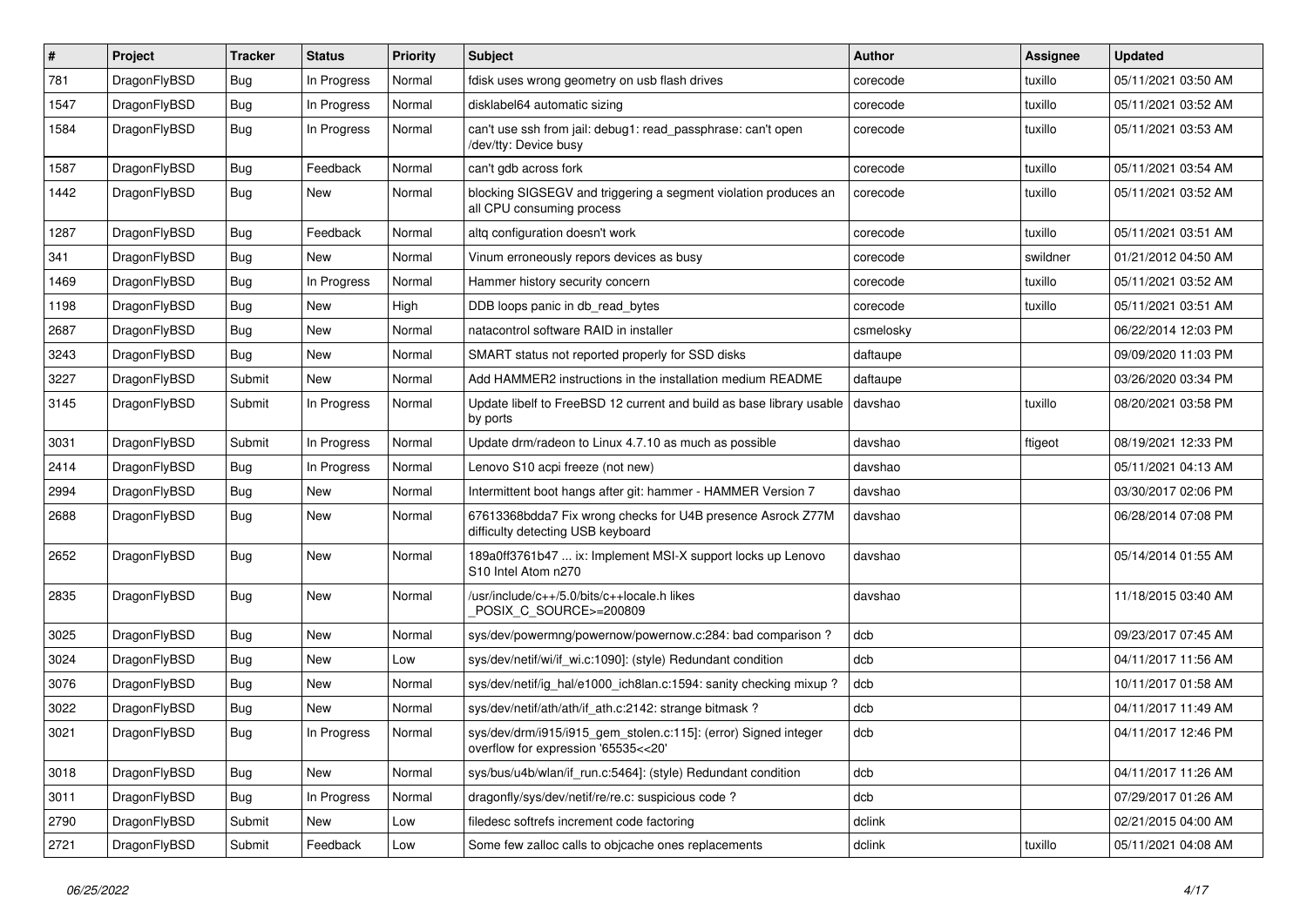| #    | Project      | <b>Tracker</b> | <b>Status</b> | <b>Priority</b> | <b>Subject</b>                                                                                         | <b>Author</b> | Assignee | <b>Updated</b>      |
|------|--------------|----------------|---------------|-----------------|--------------------------------------------------------------------------------------------------------|---------------|----------|---------------------|
| 781  | DragonFlyBSD | <b>Bug</b>     | In Progress   | Normal          | fdisk uses wrong geometry on usb flash drives                                                          | corecode      | tuxillo  | 05/11/2021 03:50 AM |
| 1547 | DragonFlyBSD | Bug            | In Progress   | Normal          | disklabel64 automatic sizing                                                                           | corecode      | tuxillo  | 05/11/2021 03:52 AM |
| 1584 | DragonFlyBSD | Bug            | In Progress   | Normal          | can't use ssh from jail: debug1: read passphrase: can't open<br>/dev/tty: Device busy                  | corecode      | tuxillo  | 05/11/2021 03:53 AM |
| 1587 | DragonFlyBSD | Bug            | Feedback      | Normal          | can't gdb across fork                                                                                  | corecode      | tuxillo  | 05/11/2021 03:54 AM |
| 1442 | DragonFlyBSD | Bug            | New           | Normal          | blocking SIGSEGV and triggering a segment violation produces an<br>all CPU consuming process           | corecode      | tuxillo  | 05/11/2021 03:52 AM |
| 1287 | DragonFlyBSD | Bug            | Feedback      | Normal          | altq configuration doesn't work                                                                        | corecode      | tuxillo  | 05/11/2021 03:51 AM |
| 341  | DragonFlyBSD | Bug            | <b>New</b>    | Normal          | Vinum erroneously repors devices as busy                                                               | corecode      | swildner | 01/21/2012 04:50 AM |
| 1469 | DragonFlyBSD | Bug            | In Progress   | Normal          | Hammer history security concern                                                                        | corecode      | tuxillo  | 05/11/2021 03:52 AM |
| 1198 | DragonFlyBSD | Bug            | New           | High            | DDB loops panic in db read bytes                                                                       | corecode      | tuxillo  | 05/11/2021 03:51 AM |
| 2687 | DragonFlyBSD | Bug            | New           | Normal          | natacontrol software RAID in installer                                                                 | csmelosky     |          | 06/22/2014 12:03 PM |
| 3243 | DragonFlyBSD | Bug            | New           | Normal          | SMART status not reported properly for SSD disks                                                       | daftaupe      |          | 09/09/2020 11:03 PM |
| 3227 | DragonFlyBSD | Submit         | New           | Normal          | Add HAMMER2 instructions in the installation medium README                                             | daftaupe      |          | 03/26/2020 03:34 PM |
| 3145 | DragonFlyBSD | Submit         | In Progress   | Normal          | Update libelf to FreeBSD 12 current and build as base library usable<br>by ports                       | davshao       | tuxillo  | 08/20/2021 03:58 PM |
| 3031 | DragonFlyBSD | Submit         | In Progress   | Normal          | Update drm/radeon to Linux 4.7.10 as much as possible                                                  | davshao       | ftigeot  | 08/19/2021 12:33 PM |
| 2414 | DragonFlyBSD | Bug            | In Progress   | Normal          | Lenovo S10 acpi freeze (not new)                                                                       | davshao       |          | 05/11/2021 04:13 AM |
| 2994 | DragonFlyBSD | Bug            | <b>New</b>    | Normal          | Intermittent boot hangs after git: hammer - HAMMER Version 7                                           | davshao       |          | 03/30/2017 02:06 PM |
| 2688 | DragonFlyBSD | Bug            | New           | Normal          | 67613368bdda7 Fix wrong checks for U4B presence Asrock Z77M<br>difficulty detecting USB keyboard       | davshao       |          | 06/28/2014 07:08 PM |
| 2652 | DragonFlyBSD | Bug            | New           | Normal          | 189a0ff3761b47  ix: Implement MSI-X support locks up Lenovo<br>S10 Intel Atom n270                     | davshao       |          | 05/14/2014 01:55 AM |
| 2835 | DragonFlyBSD | Bug            | New           | Normal          | /usr/include/c++/5.0/bits/c++locale.h likes<br>POSIX_C_SOURCE>=200809                                  | davshao       |          | 11/18/2015 03:40 AM |
| 3025 | DragonFlyBSD | Bug            | New           | Normal          | sys/dev/powermng/powernow/powernow.c:284: bad comparison ?                                             | dcb           |          | 09/23/2017 07:45 AM |
| 3024 | DragonFlyBSD | Bug            | New           | Low             | sys/dev/netif/wi/if_wi.c:1090]: (style) Redundant condition                                            | dcb           |          | 04/11/2017 11:56 AM |
| 3076 | DragonFlyBSD | Bug            | New           | Normal          | sys/dev/netif/ig_hal/e1000_ich8lan.c:1594: sanity checking mixup?                                      | dcb           |          | 10/11/2017 01:58 AM |
| 3022 | DragonFlyBSD | Bug            | New           | Normal          | sys/dev/netif/ath/ath/if_ath.c:2142: strange bitmask?                                                  | dcb           |          | 04/11/2017 11:49 AM |
| 3021 | DragonFlyBSD | Bug            | In Progress   | Normal          | sys/dev/drm/i915/i915 gem stolen.c:115]: (error) Signed integer<br>overflow for expression '65535<<20' | dcb           |          | 04/11/2017 12:46 PM |
| 3018 | DragonFlyBSD | <b>Bug</b>     | New           | Normal          | sys/bus/u4b/wlan/if run.c:5464]: (style) Redundant condition                                           | dcb           |          | 04/11/2017 11:26 AM |
| 3011 | DragonFlyBSD | Bug            | In Progress   | Normal          | dragonfly/sys/dev/netif/re/re.c: suspicious code ?                                                     | dcb           |          | 07/29/2017 01:26 AM |
| 2790 | DragonFlyBSD | Submit         | New           | Low             | filedesc softrefs increment code factoring                                                             | dclink        |          | 02/21/2015 04:00 AM |
| 2721 | DragonFlyBSD | Submit         | Feedback      | Low             | Some few zalloc calls to objcache ones replacements                                                    | dclink        | tuxillo  | 05/11/2021 04:08 AM |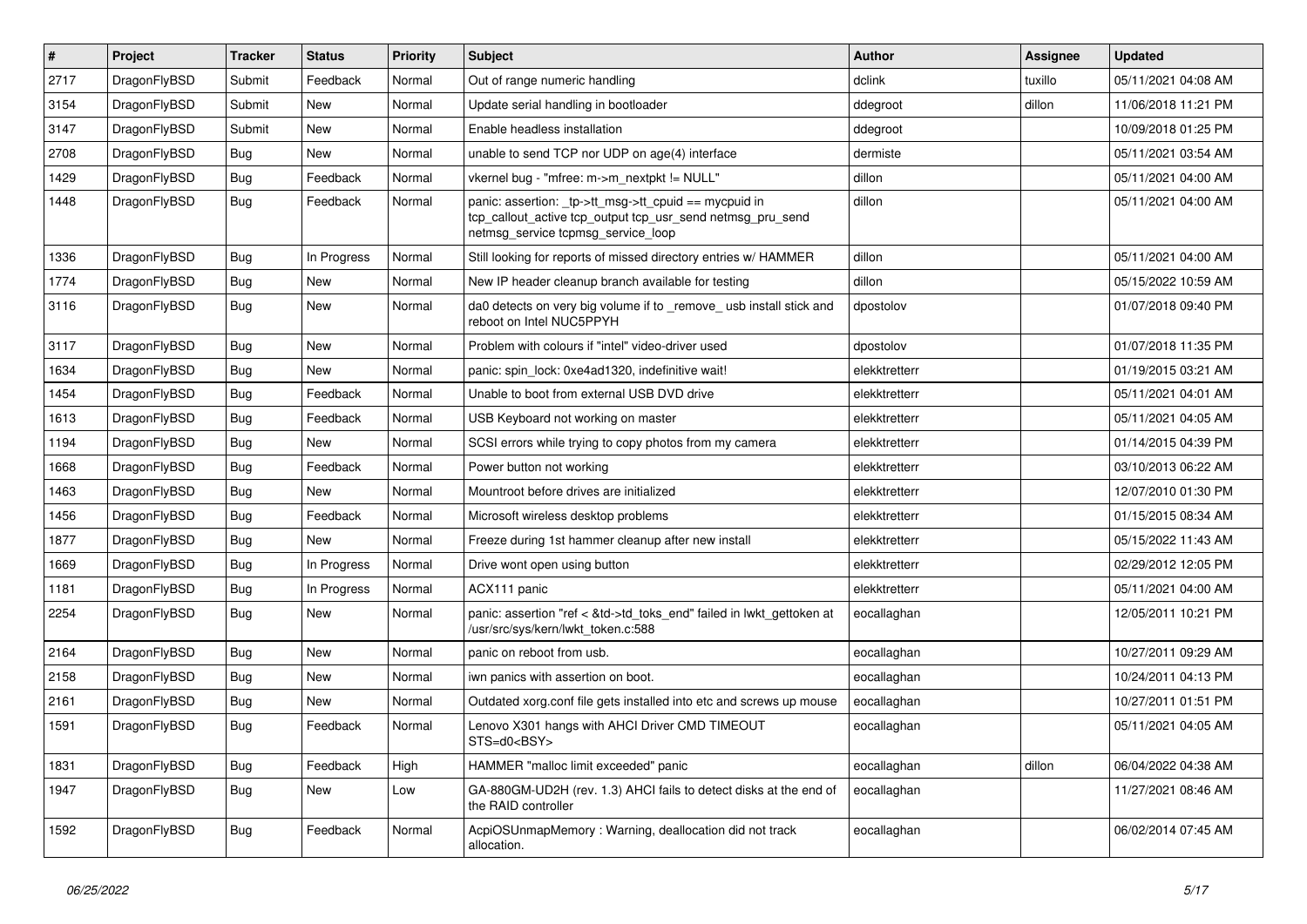| $\vert$ # | Project      | <b>Tracker</b> | <b>Status</b> | <b>Priority</b> | <b>Subject</b>                                                                                                                                            | <b>Author</b> | Assignee | <b>Updated</b>      |
|-----------|--------------|----------------|---------------|-----------------|-----------------------------------------------------------------------------------------------------------------------------------------------------------|---------------|----------|---------------------|
| 2717      | DragonFlyBSD | Submit         | Feedback      | Normal          | Out of range numeric handling                                                                                                                             | dclink        | tuxillo  | 05/11/2021 04:08 AM |
| 3154      | DragonFlyBSD | Submit         | <b>New</b>    | Normal          | Update serial handling in bootloader                                                                                                                      | ddegroot      | dillon   | 11/06/2018 11:21 PM |
| 3147      | DragonFlyBSD | Submit         | <b>New</b>    | Normal          | Enable headless installation                                                                                                                              | ddegroot      |          | 10/09/2018 01:25 PM |
| 2708      | DragonFlyBSD | Bug            | <b>New</b>    | Normal          | unable to send TCP nor UDP on age(4) interface                                                                                                            | dermiste      |          | 05/11/2021 03:54 AM |
| 1429      | DragonFlyBSD | <b>Bug</b>     | Feedback      | Normal          | vkernel bug - "mfree: m->m_nextpkt != NULL"                                                                                                               | dillon        |          | 05/11/2021 04:00 AM |
| 1448      | DragonFlyBSD | Bug            | Feedback      | Normal          | panic: assertion: _tp->tt_msg->tt_cpuid == mycpuid in<br>tcp_callout_active tcp_output tcp_usr_send netmsg_pru_send<br>netmsg_service tcpmsg_service_loop | dillon        |          | 05/11/2021 04:00 AM |
| 1336      | DragonFlyBSD | Bug            | In Progress   | Normal          | Still looking for reports of missed directory entries w/ HAMMER                                                                                           | dillon        |          | 05/11/2021 04:00 AM |
| 1774      | DragonFlyBSD | Bug            | <b>New</b>    | Normal          | New IP header cleanup branch available for testing                                                                                                        | dillon        |          | 05/15/2022 10:59 AM |
| 3116      | DragonFlyBSD | Bug            | <b>New</b>    | Normal          | da0 detects on very big volume if to _remove_ usb install stick and<br>reboot on Intel NUC5PPYH                                                           | dpostolov     |          | 01/07/2018 09:40 PM |
| 3117      | DragonFlyBSD | <b>Bug</b>     | <b>New</b>    | Normal          | Problem with colours if "intel" video-driver used                                                                                                         | dpostolov     |          | 01/07/2018 11:35 PM |
| 1634      | DragonFlyBSD | <b>Bug</b>     | New           | Normal          | panic: spin lock: 0xe4ad1320, indefinitive wait!                                                                                                          | elekktretterr |          | 01/19/2015 03:21 AM |
| 1454      | DragonFlyBSD | Bug            | Feedback      | Normal          | Unable to boot from external USB DVD drive                                                                                                                | elekktretterr |          | 05/11/2021 04:01 AM |
| 1613      | DragonFlyBSD | Bug            | Feedback      | Normal          | USB Keyboard not working on master                                                                                                                        | elekktretterr |          | 05/11/2021 04:05 AM |
| 1194      | DragonFlyBSD | <b>Bug</b>     | <b>New</b>    | Normal          | SCSI errors while trying to copy photos from my camera                                                                                                    | elekktretterr |          | 01/14/2015 04:39 PM |
| 1668      | DragonFlyBSD | <b>Bug</b>     | Feedback      | Normal          | Power button not working                                                                                                                                  | elekktretterr |          | 03/10/2013 06:22 AM |
| 1463      | DragonFlyBSD | <b>Bug</b>     | <b>New</b>    | Normal          | Mountroot before drives are initialized                                                                                                                   | elekktretterr |          | 12/07/2010 01:30 PM |
| 1456      | DragonFlyBSD | Bug            | Feedback      | Normal          | Microsoft wireless desktop problems                                                                                                                       | elekktretterr |          | 01/15/2015 08:34 AM |
| 1877      | DragonFlyBSD | <b>Bug</b>     | New           | Normal          | Freeze during 1st hammer cleanup after new install                                                                                                        | elekktretterr |          | 05/15/2022 11:43 AM |
| 1669      | DragonFlyBSD | <b>Bug</b>     | In Progress   | Normal          | Drive wont open using button                                                                                                                              | elekktretterr |          | 02/29/2012 12:05 PM |
| 1181      | DragonFlyBSD | <b>Bug</b>     | In Progress   | Normal          | ACX111 panic                                                                                                                                              | elekktretterr |          | 05/11/2021 04:00 AM |
| 2254      | DragonFlyBSD | <b>Bug</b>     | New           | Normal          | panic: assertion "ref < &td->td_toks_end" failed in lwkt_gettoken at<br>/usr/src/sys/kern/lwkt_token.c:588                                                | eocallaghan   |          | 12/05/2011 10:21 PM |
| 2164      | DragonFlyBSD | Bug            | <b>New</b>    | Normal          | panic on reboot from usb.                                                                                                                                 | eocallaghan   |          | 10/27/2011 09:29 AM |
| 2158      | DragonFlyBSD | <b>Bug</b>     | <b>New</b>    | Normal          | iwn panics with assertion on boot.                                                                                                                        | eocallaghan   |          | 10/24/2011 04:13 PM |
| 2161      | DragonFlyBSD | Bug            | <b>New</b>    | Normal          | Outdated xorg.conf file gets installed into etc and screws up mouse                                                                                       | eocallaghan   |          | 10/27/2011 01:51 PM |
| 1591      | DragonFlyBSD | Bug            | Feedback      | Normal          | Lenovo X301 hangs with AHCI Driver CMD TIMEOUT<br>STS=d0 <bsy></bsy>                                                                                      | eocallaghan   |          | 05/11/2021 04:05 AM |
| 1831      | DragonFlyBSD | <b>Bug</b>     | Feedback      | High            | HAMMER "malloc limit exceeded" panic                                                                                                                      | eocallaghan   | dillon   | 06/04/2022 04:38 AM |
| 1947      | DragonFlyBSD | <b>Bug</b>     | New           | Low             | GA-880GM-UD2H (rev. 1.3) AHCI fails to detect disks at the end of<br>the RAID controller                                                                  | eocallaghan   |          | 11/27/2021 08:46 AM |
| 1592      | DragonFlyBSD | <b>Bug</b>     | Feedback      | Normal          | AcpiOSUnmapMemory: Warning, deallocation did not track<br>allocation.                                                                                     | eocallaghan   |          | 06/02/2014 07:45 AM |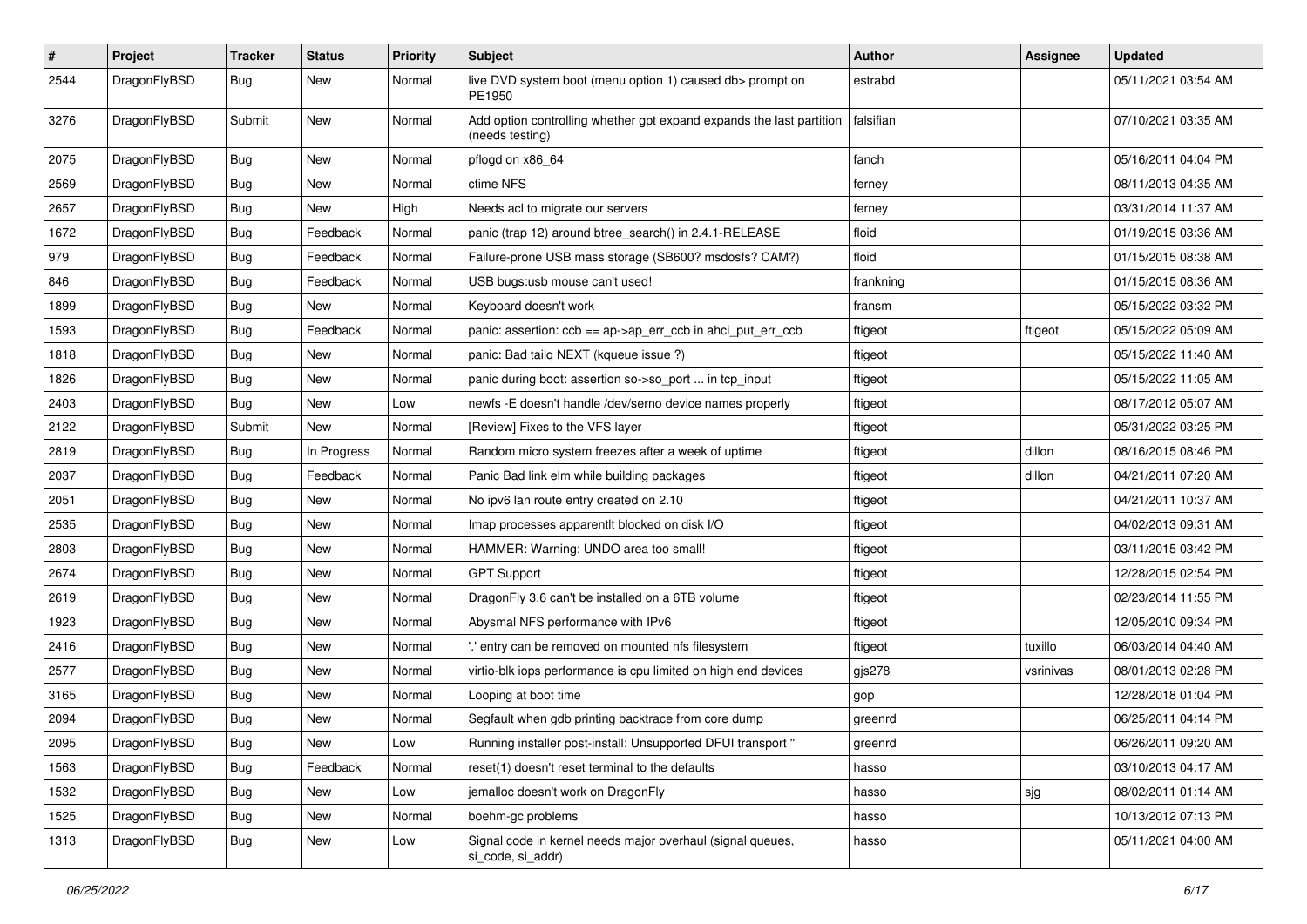| $\pmb{\#}$ | Project      | <b>Tracker</b> | <b>Status</b> | <b>Priority</b> | <b>Subject</b>                                                                          | Author    | <b>Assignee</b> | <b>Updated</b>      |
|------------|--------------|----------------|---------------|-----------------|-----------------------------------------------------------------------------------------|-----------|-----------------|---------------------|
| 2544       | DragonFlyBSD | Bug            | New           | Normal          | live DVD system boot (menu option 1) caused db> prompt on<br>PE1950                     | estrabd   |                 | 05/11/2021 03:54 AM |
| 3276       | DragonFlyBSD | Submit         | <b>New</b>    | Normal          | Add option controlling whether gpt expand expands the last partition<br>(needs testing) | falsifian |                 | 07/10/2021 03:35 AM |
| 2075       | DragonFlyBSD | Bug            | <b>New</b>    | Normal          | pflogd on x86_64                                                                        | fanch     |                 | 05/16/2011 04:04 PM |
| 2569       | DragonFlyBSD | Bug            | New           | Normal          | ctime NFS                                                                               | ferney    |                 | 08/11/2013 04:35 AM |
| 2657       | DragonFlyBSD | Bug            | New           | High            | Needs acl to migrate our servers                                                        | ferney    |                 | 03/31/2014 11:37 AM |
| 1672       | DragonFlyBSD | Bug            | Feedback      | Normal          | panic (trap 12) around btree_search() in 2.4.1-RELEASE                                  | floid     |                 | 01/19/2015 03:36 AM |
| 979        | DragonFlyBSD | <b>Bug</b>     | Feedback      | Normal          | Failure-prone USB mass storage (SB600? msdosfs? CAM?)                                   | floid     |                 | 01/15/2015 08:38 AM |
| 846        | DragonFlyBSD | Bug            | Feedback      | Normal          | USB bugs:usb mouse can't used!                                                          | frankning |                 | 01/15/2015 08:36 AM |
| 1899       | DragonFlyBSD | <b>Bug</b>     | New           | Normal          | Keyboard doesn't work                                                                   | fransm    |                 | 05/15/2022 03:32 PM |
| 1593       | DragonFlyBSD | <b>Bug</b>     | Feedback      | Normal          | panic: assertion: ccb == ap->ap_err_ccb in ahci_put_err_ccb                             | ftigeot   | ftigeot         | 05/15/2022 05:09 AM |
| 1818       | DragonFlyBSD | <b>Bug</b>     | New           | Normal          | panic: Bad tailq NEXT (kqueue issue ?)                                                  | ftigeot   |                 | 05/15/2022 11:40 AM |
| 1826       | DragonFlyBSD | <b>Bug</b>     | <b>New</b>    | Normal          | panic during boot: assertion so->so_port  in tcp_input                                  | ftigeot   |                 | 05/15/2022 11:05 AM |
| 2403       | DragonFlyBSD | Bug            | <b>New</b>    | Low             | newfs -E doesn't handle /dev/serno device names properly                                | ftigeot   |                 | 08/17/2012 05:07 AM |
| 2122       | DragonFlyBSD | Submit         | New           | Normal          | [Review] Fixes to the VFS layer                                                         | ftigeot   |                 | 05/31/2022 03:25 PM |
| 2819       | DragonFlyBSD | Bug            | In Progress   | Normal          | Random micro system freezes after a week of uptime                                      | ftigeot   | dillon          | 08/16/2015 08:46 PM |
| 2037       | DragonFlyBSD | Bug            | Feedback      | Normal          | Panic Bad link elm while building packages                                              | ftigeot   | dillon          | 04/21/2011 07:20 AM |
| 2051       | DragonFlyBSD | <b>Bug</b>     | New           | Normal          | No ipv6 lan route entry created on 2.10                                                 | ftigeot   |                 | 04/21/2011 10:37 AM |
| 2535       | DragonFlyBSD | Bug            | New           | Normal          | Imap processes apparentlt blocked on disk I/O                                           | ftigeot   |                 | 04/02/2013 09:31 AM |
| 2803       | DragonFlyBSD | Bug            | New           | Normal          | HAMMER: Warning: UNDO area too small!                                                   | ftigeot   |                 | 03/11/2015 03:42 PM |
| 2674       | DragonFlyBSD | <b>Bug</b>     | New           | Normal          | <b>GPT Support</b>                                                                      | ftigeot   |                 | 12/28/2015 02:54 PM |
| 2619       | DragonFlyBSD | Bug            | New           | Normal          | DragonFly 3.6 can't be installed on a 6TB volume                                        | ftigeot   |                 | 02/23/2014 11:55 PM |
| 1923       | DragonFlyBSD | <b>Bug</b>     | New           | Normal          | Abysmal NFS performance with IPv6                                                       | ftigeot   |                 | 12/05/2010 09:34 PM |
| 2416       | DragonFlyBSD | Bug            | <b>New</b>    | Normal          | ".' entry can be removed on mounted nfs filesystem                                      | ftigeot   | tuxillo         | 06/03/2014 04:40 AM |
| 2577       | DragonFlyBSD | Bug            | New           | Normal          | virtio-blk iops performance is cpu limited on high end devices                          | gjs278    | vsrinivas       | 08/01/2013 02:28 PM |
| 3165       | DragonFlyBSD | Bug            | New           | Normal          | Looping at boot time                                                                    | gop       |                 | 12/28/2018 01:04 PM |
| 2094       | DragonFlyBSD | Bug            | <b>New</b>    | Normal          | Segfault when gdb printing backtrace from core dump                                     | greenrd   |                 | 06/25/2011 04:14 PM |
| 2095       | DragonFlyBSD | Bug            | New           | Low             | Running installer post-install: Unsupported DFUI transport "                            | greenrd   |                 | 06/26/2011 09:20 AM |
| 1563       | DragonFlyBSD | Bug            | Feedback      | Normal          | reset(1) doesn't reset terminal to the defaults                                         | hasso     |                 | 03/10/2013 04:17 AM |
| 1532       | DragonFlyBSD | <b>Bug</b>     | <b>New</b>    | Low             | jemalloc doesn't work on DragonFly                                                      | hasso     | sjg             | 08/02/2011 01:14 AM |
| 1525       | DragonFlyBSD | Bug            | New           | Normal          | boehm-gc problems                                                                       | hasso     |                 | 10/13/2012 07:13 PM |
| 1313       | DragonFlyBSD | Bug            | New           | Low             | Signal code in kernel needs major overhaul (signal queues,<br>si_code, si_addr)         | hasso     |                 | 05/11/2021 04:00 AM |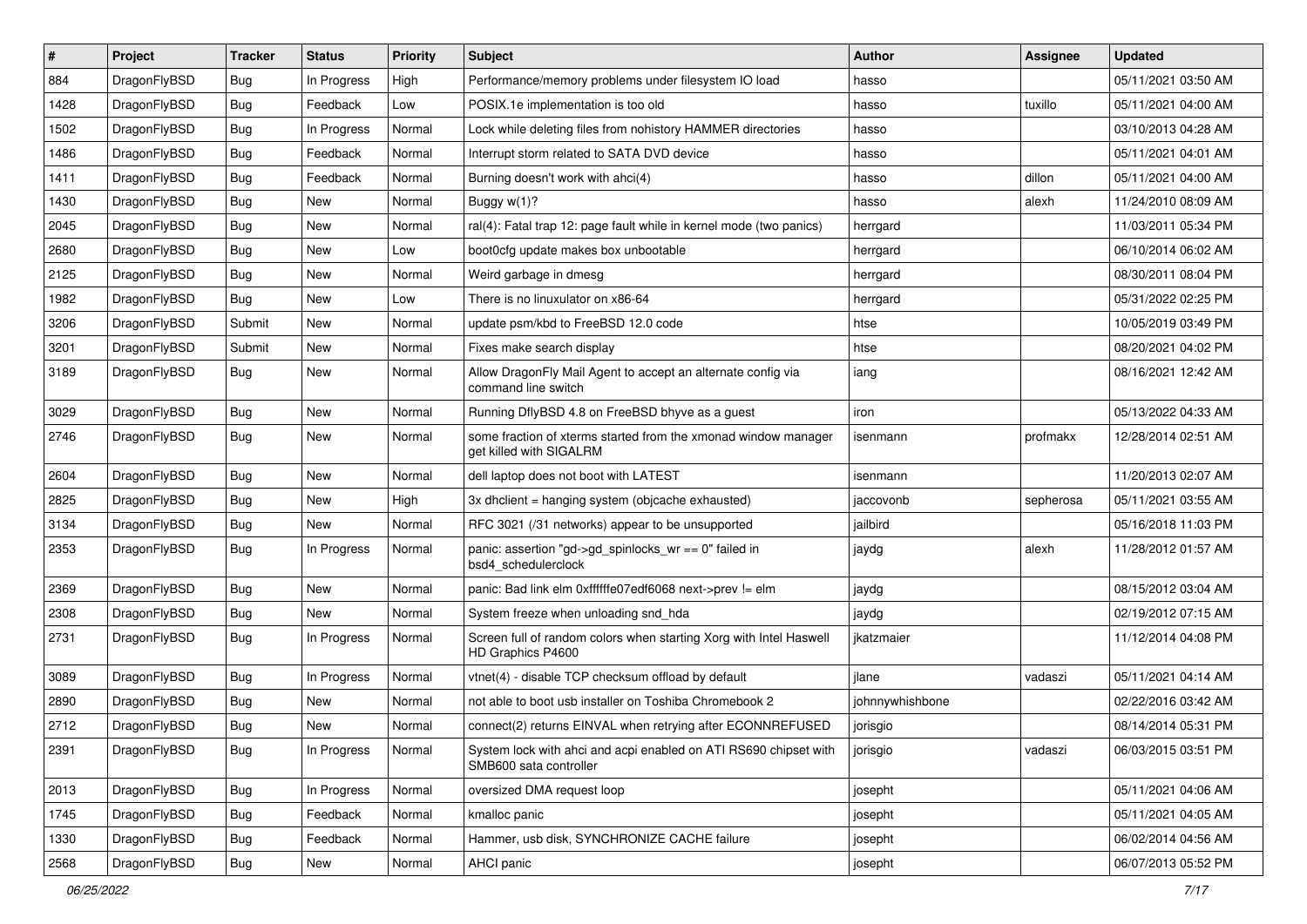| $\sharp$ | Project      | <b>Tracker</b> | <b>Status</b> | <b>Priority</b> | <b>Subject</b>                                                                             | <b>Author</b>   | Assignee  | <b>Updated</b>      |
|----------|--------------|----------------|---------------|-----------------|--------------------------------------------------------------------------------------------|-----------------|-----------|---------------------|
| 884      | DragonFlyBSD | <b>Bug</b>     | In Progress   | High            | Performance/memory problems under filesystem IO load                                       | hasso           |           | 05/11/2021 03:50 AM |
| 1428     | DragonFlyBSD | Bug            | Feedback      | Low             | POSIX.1e implementation is too old                                                         | hasso           | tuxillo   | 05/11/2021 04:00 AM |
| 1502     | DragonFlyBSD | <b>Bug</b>     | In Progress   | Normal          | Lock while deleting files from nohistory HAMMER directories                                | hasso           |           | 03/10/2013 04:28 AM |
| 1486     | DragonFlyBSD | <b>Bug</b>     | Feedback      | Normal          | Interrupt storm related to SATA DVD device                                                 | hasso           |           | 05/11/2021 04:01 AM |
| 1411     | DragonFlyBSD | Bug            | Feedback      | Normal          | Burning doesn't work with ahci(4)                                                          | hasso           | dillon    | 05/11/2021 04:00 AM |
| 1430     | DragonFlyBSD | Bug            | <b>New</b>    | Normal          | Buggy w(1)?                                                                                | hasso           | alexh     | 11/24/2010 08:09 AM |
| 2045     | DragonFlyBSD | <b>Bug</b>     | New           | Normal          | ral(4): Fatal trap 12: page fault while in kernel mode (two panics)                        | herrgard        |           | 11/03/2011 05:34 PM |
| 2680     | DragonFlyBSD | <b>Bug</b>     | <b>New</b>    | Low             | boot0cfg update makes box unbootable                                                       | herrgard        |           | 06/10/2014 06:02 AM |
| 2125     | DragonFlyBSD | <b>Bug</b>     | New           | Normal          | Weird garbage in dmesg                                                                     | herrgard        |           | 08/30/2011 08:04 PM |
| 1982     | DragonFlyBSD | Bug            | <b>New</b>    | Low             | There is no linuxulator on x86-64                                                          | herrgard        |           | 05/31/2022 02:25 PM |
| 3206     | DragonFlyBSD | Submit         | New           | Normal          | update psm/kbd to FreeBSD 12.0 code                                                        | htse            |           | 10/05/2019 03:49 PM |
| 3201     | DragonFlyBSD | Submit         | New           | Normal          | Fixes make search display                                                                  | htse            |           | 08/20/2021 04:02 PM |
| 3189     | DragonFlyBSD | Bug            | New           | Normal          | Allow DragonFly Mail Agent to accept an alternate config via<br>command line switch        | iang            |           | 08/16/2021 12:42 AM |
| 3029     | DragonFlyBSD | Bug            | New           | Normal          | Running DflyBSD 4.8 on FreeBSD bhyve as a guest                                            | iron            |           | 05/13/2022 04:33 AM |
| 2746     | DragonFlyBSD | <b>Bug</b>     | <b>New</b>    | Normal          | some fraction of xterms started from the xmonad window manager<br>get killed with SIGALRM  | isenmann        | profmakx  | 12/28/2014 02:51 AM |
| 2604     | DragonFlyBSD | Bug            | <b>New</b>    | Normal          | dell laptop does not boot with LATEST                                                      | isenmann        |           | 11/20/2013 02:07 AM |
| 2825     | DragonFlyBSD | <b>Bug</b>     | New           | High            | 3x dhclient = hanging system (objcache exhausted)                                          | jaccovonb       | sepherosa | 05/11/2021 03:55 AM |
| 3134     | DragonFlyBSD | <b>Bug</b>     | New           | Normal          | RFC 3021 (/31 networks) appear to be unsupported                                           | jailbird        |           | 05/16/2018 11:03 PM |
| 2353     | DragonFlyBSD | <b>Bug</b>     | In Progress   | Normal          | panic: assertion "gd->gd_spinlocks_wr == 0" failed in<br>bsd4_schedulerclock               | jaydg           | alexh     | 11/28/2012 01:57 AM |
| 2369     | DragonFlyBSD | Bug            | New           | Normal          | panic: Bad link elm 0xffffffe07edf6068 next->prev != elm                                   | jaydg           |           | 08/15/2012 03:04 AM |
| 2308     | DragonFlyBSD | <b>Bug</b>     | New           | Normal          | System freeze when unloading snd_hda                                                       | jaydg           |           | 02/19/2012 07:15 AM |
| 2731     | DragonFlyBSD | <b>Bug</b>     | In Progress   | Normal          | Screen full of random colors when starting Xorg with Intel Haswell<br>HD Graphics P4600    | jkatzmaier      |           | 11/12/2014 04:08 PM |
| 3089     | DragonFlyBSD | Bug            | In Progress   | Normal          | vtnet(4) - disable TCP checksum offload by default                                         | ilane           | vadaszi   | 05/11/2021 04:14 AM |
| 2890     | DragonFlyBSD | <b>Bug</b>     | <b>New</b>    | Normal          | not able to boot usb installer on Toshiba Chromebook 2                                     | johnnywhishbone |           | 02/22/2016 03:42 AM |
| 2712     | DragonFlyBSD | Bug            | New           | Normal          | connect(2) returns EINVAL when retrying after ECONNREFUSED                                 | jorisgio        |           | 08/14/2014 05:31 PM |
| 2391     | DragonFlyBSD | <b>Bug</b>     | In Progress   | Normal          | System lock with ahci and acpi enabled on ATI RS690 chipset with<br>SMB600 sata controller | jorisgio        | vadaszi   | 06/03/2015 03:51 PM |
| 2013     | DragonFlyBSD | <b>Bug</b>     | In Progress   | Normal          | oversized DMA request loop                                                                 | josepht         |           | 05/11/2021 04:06 AM |
| 1745     | DragonFlyBSD | <b>Bug</b>     | Feedback      | Normal          | kmalloc panic                                                                              | josepht         |           | 05/11/2021 04:05 AM |
| 1330     | DragonFlyBSD | <b>Bug</b>     | Feedback      | Normal          | Hammer, usb disk, SYNCHRONIZE CACHE failure                                                | josepht         |           | 06/02/2014 04:56 AM |
| 2568     | DragonFlyBSD | <b>Bug</b>     | New           | Normal          | AHCI panic                                                                                 | josepht         |           | 06/07/2013 05:52 PM |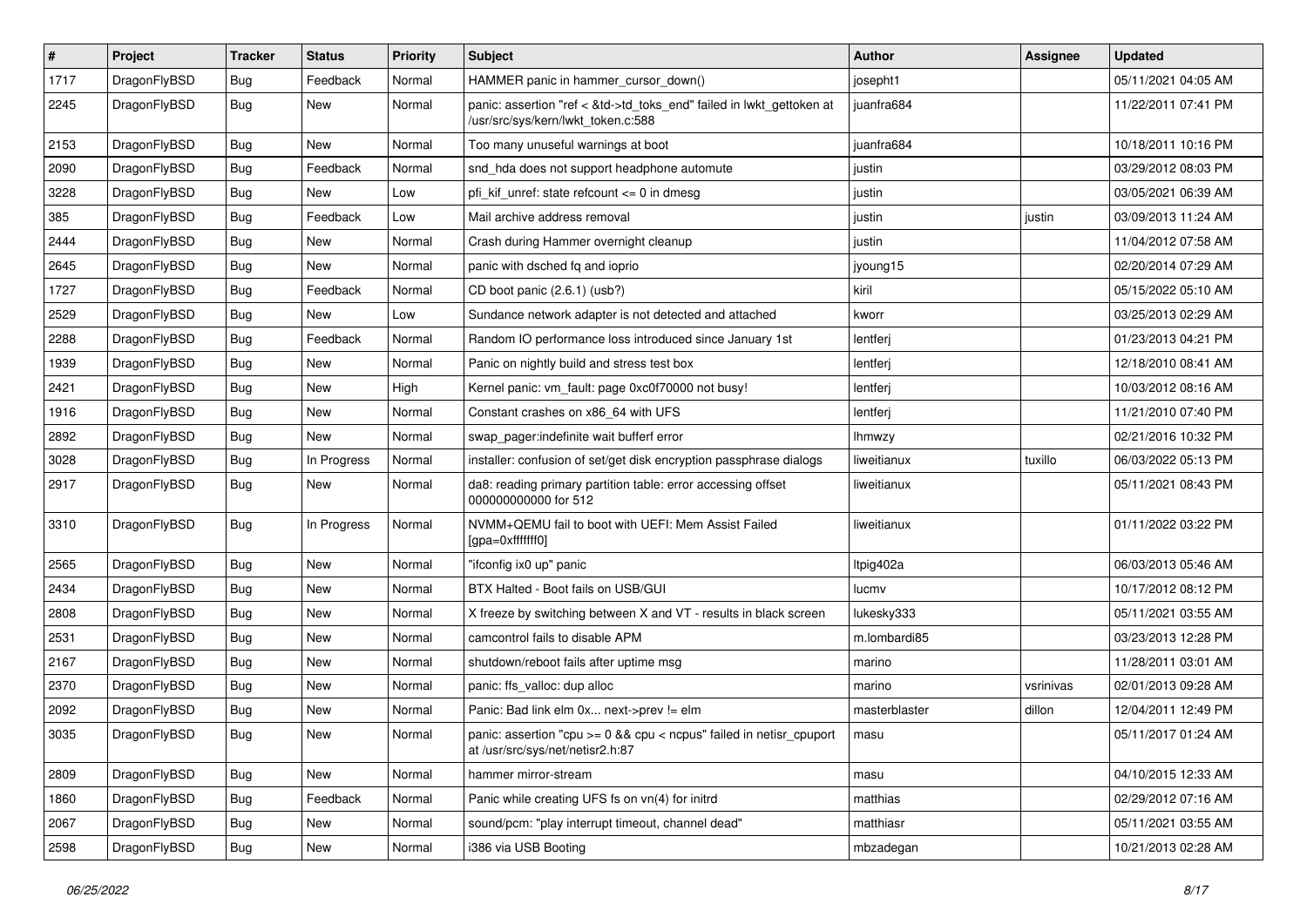| $\sharp$ | Project      | <b>Tracker</b> | <b>Status</b> | <b>Priority</b> | <b>Subject</b>                                                                                             | Author        | Assignee  | <b>Updated</b>      |
|----------|--------------|----------------|---------------|-----------------|------------------------------------------------------------------------------------------------------------|---------------|-----------|---------------------|
| 1717     | DragonFlyBSD | <b>Bug</b>     | Feedback      | Normal          | HAMMER panic in hammer_cursor_down()                                                                       | josepht1      |           | 05/11/2021 04:05 AM |
| 2245     | DragonFlyBSD | <b>Bug</b>     | <b>New</b>    | Normal          | panic: assertion "ref < &td->td_toks_end" failed in lwkt_gettoken at<br>/usr/src/sys/kern/lwkt token.c:588 | juanfra684    |           | 11/22/2011 07:41 PM |
| 2153     | DragonFlyBSD | <b>Bug</b>     | New           | Normal          | Too many unuseful warnings at boot                                                                         | juanfra684    |           | 10/18/2011 10:16 PM |
| 2090     | DragonFlyBSD | <b>Bug</b>     | Feedback      | Normal          | snd_hda does not support headphone automute                                                                | justin        |           | 03/29/2012 08:03 PM |
| 3228     | DragonFlyBSD | <b>Bug</b>     | New           | Low             | pfi_kif_unref: state refcount <= 0 in dmesg                                                                | justin        |           | 03/05/2021 06:39 AM |
| 385      | DragonFlyBSD | <b>Bug</b>     | Feedback      | Low             | Mail archive address removal                                                                               | justin        | justin    | 03/09/2013 11:24 AM |
| 2444     | DragonFlyBSD | <b>Bug</b>     | New           | Normal          | Crash during Hammer overnight cleanup                                                                      | justin        |           | 11/04/2012 07:58 AM |
| 2645     | DragonFlyBSD | <b>Bug</b>     | New           | Normal          | panic with dsched fq and ioprio                                                                            | jyoung15      |           | 02/20/2014 07:29 AM |
| 1727     | DragonFlyBSD | <b>Bug</b>     | Feedback      | Normal          | CD boot panic (2.6.1) (usb?)                                                                               | kiril         |           | 05/15/2022 05:10 AM |
| 2529     | DragonFlyBSD | <b>Bug</b>     | New           | Low             | Sundance network adapter is not detected and attached                                                      | kworr         |           | 03/25/2013 02:29 AM |
| 2288     | DragonFlyBSD | <b>Bug</b>     | Feedback      | Normal          | Random IO performance loss introduced since January 1st                                                    | lentferj      |           | 01/23/2013 04:21 PM |
| 1939     | DragonFlyBSD | <b>Bug</b>     | New           | Normal          | Panic on nightly build and stress test box                                                                 | lentferj      |           | 12/18/2010 08:41 AM |
| 2421     | DragonFlyBSD | <b>Bug</b>     | New           | High            | Kernel panic: vm_fault: page 0xc0f70000 not busy!                                                          | lentferj      |           | 10/03/2012 08:16 AM |
| 1916     | DragonFlyBSD | <b>Bug</b>     | New           | Normal          | Constant crashes on x86_64 with UFS                                                                        | lentferj      |           | 11/21/2010 07:40 PM |
| 2892     | DragonFlyBSD | <b>Bug</b>     | <b>New</b>    | Normal          | swap pager:indefinite wait bufferf error                                                                   | lhmwzy        |           | 02/21/2016 10:32 PM |
| 3028     | DragonFlyBSD | <b>Bug</b>     | In Progress   | Normal          | installer: confusion of set/get disk encryption passphrase dialogs                                         | liweitianux   | tuxillo   | 06/03/2022 05:13 PM |
| 2917     | DragonFlyBSD | <b>Bug</b>     | New           | Normal          | da8: reading primary partition table: error accessing offset<br>000000000000 for 512                       | liweitianux   |           | 05/11/2021 08:43 PM |
| 3310     | DragonFlyBSD | <b>Bug</b>     | In Progress   | Normal          | NVMM+QEMU fail to boot with UEFI: Mem Assist Failed<br>[gpa=0xfffffff0]                                    | liweitianux   |           | 01/11/2022 03:22 PM |
| 2565     | DragonFlyBSD | <b>Bug</b>     | New           | Normal          | "ifconfig ix0 up" panic                                                                                    | ltpig402a     |           | 06/03/2013 05:46 AM |
| 2434     | DragonFlyBSD | <b>Bug</b>     | New           | Normal          | BTX Halted - Boot fails on USB/GUI                                                                         | lucmv         |           | 10/17/2012 08:12 PM |
| 2808     | DragonFlyBSD | <b>Bug</b>     | New           | Normal          | X freeze by switching between X and VT - results in black screen                                           | lukesky333    |           | 05/11/2021 03:55 AM |
| 2531     | DragonFlyBSD | Bug            | New           | Normal          | camcontrol fails to disable APM                                                                            | m.lombardi85  |           | 03/23/2013 12:28 PM |
| 2167     | DragonFlyBSD | <b>Bug</b>     | New           | Normal          | shutdown/reboot fails after uptime msg                                                                     | marino        |           | 11/28/2011 03:01 AM |
| 2370     | DragonFlyBSD | <b>Bug</b>     | <b>New</b>    | Normal          | panic: ffs_valloc: dup alloc                                                                               | marino        | vsrinivas | 02/01/2013 09:28 AM |
| 2092     | DragonFlyBSD | Bug            | New           | Normal          | Panic: Bad link elm 0x next->prev != elm                                                                   | masterblaster | dillon    | 12/04/2011 12:49 PM |
| 3035     | DragonFlyBSD | i Bug          | New           | Normal          | panic: assertion "cpu >= 0 && cpu < ncpus" failed in netisr_cpuport<br>at /usr/src/sys/net/netisr2.h:87    | masu          |           | 05/11/2017 01:24 AM |
| 2809     | DragonFlyBSD | <b>Bug</b>     | New           | Normal          | hammer mirror-stream                                                                                       | masu          |           | 04/10/2015 12:33 AM |
| 1860     | DragonFlyBSD | <b>Bug</b>     | Feedback      | Normal          | Panic while creating UFS fs on vn(4) for initrd                                                            | matthias      |           | 02/29/2012 07:16 AM |
| 2067     | DragonFlyBSD | <b>Bug</b>     | New           | Normal          | sound/pcm: "play interrupt timeout, channel dead"                                                          | matthiasr     |           | 05/11/2021 03:55 AM |
| 2598     | DragonFlyBSD | <b>Bug</b>     | New           | Normal          | i386 via USB Booting                                                                                       | mbzadegan     |           | 10/21/2013 02:28 AM |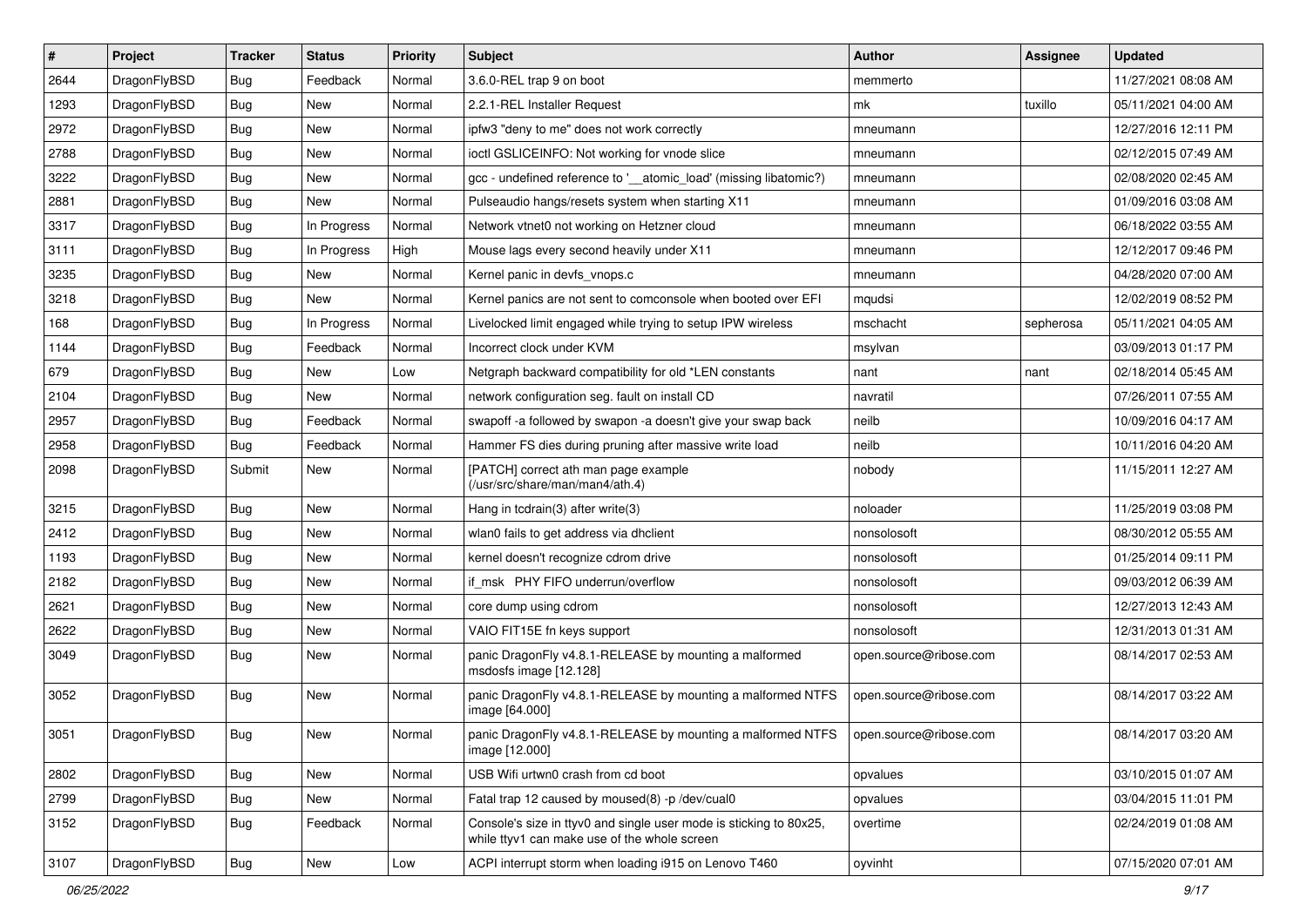| #    | Project      | <b>Tracker</b> | <b>Status</b> | <b>Priority</b> | <b>Subject</b>                                                                                                     | <b>Author</b>          | Assignee  | <b>Updated</b>      |
|------|--------------|----------------|---------------|-----------------|--------------------------------------------------------------------------------------------------------------------|------------------------|-----------|---------------------|
| 2644 | DragonFlyBSD | Bug            | Feedback      | Normal          | 3.6.0-REL trap 9 on boot                                                                                           | memmerto               |           | 11/27/2021 08:08 AM |
| 1293 | DragonFlyBSD | Bug            | <b>New</b>    | Normal          | 2.2.1-REL Installer Request                                                                                        | mk                     | tuxillo   | 05/11/2021 04:00 AM |
| 2972 | DragonFlyBSD | <b>Bug</b>     | New           | Normal          | ipfw3 "deny to me" does not work correctly                                                                         | mneumann               |           | 12/27/2016 12:11 PM |
| 2788 | DragonFlyBSD | <b>Bug</b>     | New           | Normal          | ioctl GSLICEINFO: Not working for vnode slice                                                                      | mneumann               |           | 02/12/2015 07:49 AM |
| 3222 | DragonFlyBSD | Bug            | <b>New</b>    | Normal          | gcc - undefined reference to '__atomic_load' (missing libatomic?)                                                  | mneumann               |           | 02/08/2020 02:45 AM |
| 2881 | DragonFlyBSD | <b>Bug</b>     | New           | Normal          | Pulseaudio hangs/resets system when starting X11                                                                   | mneumann               |           | 01/09/2016 03:08 AM |
| 3317 | DragonFlyBSD | <b>Bug</b>     | In Progress   | Normal          | Network vtnet0 not working on Hetzner cloud                                                                        | mneumann               |           | 06/18/2022 03:55 AM |
| 3111 | DragonFlyBSD | <b>Bug</b>     | In Progress   | High            | Mouse lags every second heavily under X11                                                                          | mneumann               |           | 12/12/2017 09:46 PM |
| 3235 | DragonFlyBSD | <b>Bug</b>     | <b>New</b>    | Normal          | Kernel panic in devfs_vnops.c                                                                                      | mneumann               |           | 04/28/2020 07:00 AM |
| 3218 | DragonFlyBSD | Bug            | New           | Normal          | Kernel panics are not sent to comconsole when booted over EFI                                                      | mqudsi                 |           | 12/02/2019 08:52 PM |
| 168  | DragonFlyBSD | <b>Bug</b>     | In Progress   | Normal          | Livelocked limit engaged while trying to setup IPW wireless                                                        | mschacht               | sepherosa | 05/11/2021 04:05 AM |
| 1144 | DragonFlyBSD | <b>Bug</b>     | Feedback      | Normal          | Incorrect clock under KVM                                                                                          | msylvan                |           | 03/09/2013 01:17 PM |
| 679  | DragonFlyBSD | <b>Bug</b>     | New           | Low             | Netgraph backward compatibility for old *LEN constants                                                             | nant                   | nant      | 02/18/2014 05:45 AM |
| 2104 | DragonFlyBSD | <b>Bug</b>     | New           | Normal          | network configuration seg. fault on install CD                                                                     | navratil               |           | 07/26/2011 07:55 AM |
| 2957 | DragonFlyBSD | Bug            | Feedback      | Normal          | swapoff -a followed by swapon -a doesn't give your swap back                                                       | neilb                  |           | 10/09/2016 04:17 AM |
| 2958 | DragonFlyBSD | Bug            | Feedback      | Normal          | Hammer FS dies during pruning after massive write load                                                             | neilb                  |           | 10/11/2016 04:20 AM |
| 2098 | DragonFlyBSD | Submit         | New           | Normal          | [PATCH] correct ath man page example<br>(/usr/src/share/man/man4/ath.4)                                            | nobody                 |           | 11/15/2011 12:27 AM |
| 3215 | DragonFlyBSD | Bug            | New           | Normal          | Hang in tcdrain(3) after write(3)                                                                                  | noloader               |           | 11/25/2019 03:08 PM |
| 2412 | DragonFlyBSD | Bug            | New           | Normal          | wlan0 fails to get address via dhclient                                                                            | nonsolosoft            |           | 08/30/2012 05:55 AM |
| 1193 | DragonFlyBSD | Bug            | New           | Normal          | kernel doesn't recognize cdrom drive                                                                               | nonsolosoft            |           | 01/25/2014 09:11 PM |
| 2182 | DragonFlyBSD | Bug            | <b>New</b>    | Normal          | if_msk PHY FIFO underrun/overflow                                                                                  | nonsolosoft            |           | 09/03/2012 06:39 AM |
| 2621 | DragonFlyBSD | Bug            | <b>New</b>    | Normal          | core dump using cdrom                                                                                              | nonsolosoft            |           | 12/27/2013 12:43 AM |
| 2622 | DragonFlyBSD | Bug            | New           | Normal          | VAIO FIT15E fn keys support                                                                                        | nonsolosoft            |           | 12/31/2013 01:31 AM |
| 3049 | DragonFlyBSD | Bug            | New           | Normal          | panic DragonFly v4.8.1-RELEASE by mounting a malformed<br>msdosfs image [12.128]                                   | open.source@ribose.com |           | 08/14/2017 02:53 AM |
| 3052 | DragonFlyBSD | Bug            | New           | Normal          | panic DragonFly v4.8.1-RELEASE by mounting a malformed NTFS<br>image [64.000]                                      | open.source@ribose.com |           | 08/14/2017 03:22 AM |
| 3051 | DragonFlyBSD | Bug            | New           | Normal          | panic DragonFly v4.8.1-RELEASE by mounting a malformed NTFS<br>image [12.000]                                      | open.source@ribose.com |           | 08/14/2017 03:20 AM |
| 2802 | DragonFlyBSD | <b>Bug</b>     | <b>New</b>    | Normal          | USB Wifi urtwn0 crash from cd boot                                                                                 | opvalues               |           | 03/10/2015 01:07 AM |
| 2799 | DragonFlyBSD | <b>Bug</b>     | New           | Normal          | Fatal trap 12 caused by moused(8) -p /dev/cual0                                                                    | opvalues               |           | 03/04/2015 11:01 PM |
| 3152 | DragonFlyBSD | <b>Bug</b>     | Feedback      | Normal          | Console's size in ttyv0 and single user mode is sticking to 80x25,<br>while ttyv1 can make use of the whole screen | overtime               |           | 02/24/2019 01:08 AM |
| 3107 | DragonFlyBSD | Bug            | New           | Low             | ACPI interrupt storm when loading i915 on Lenovo T460                                                              | oyvinht                |           | 07/15/2020 07:01 AM |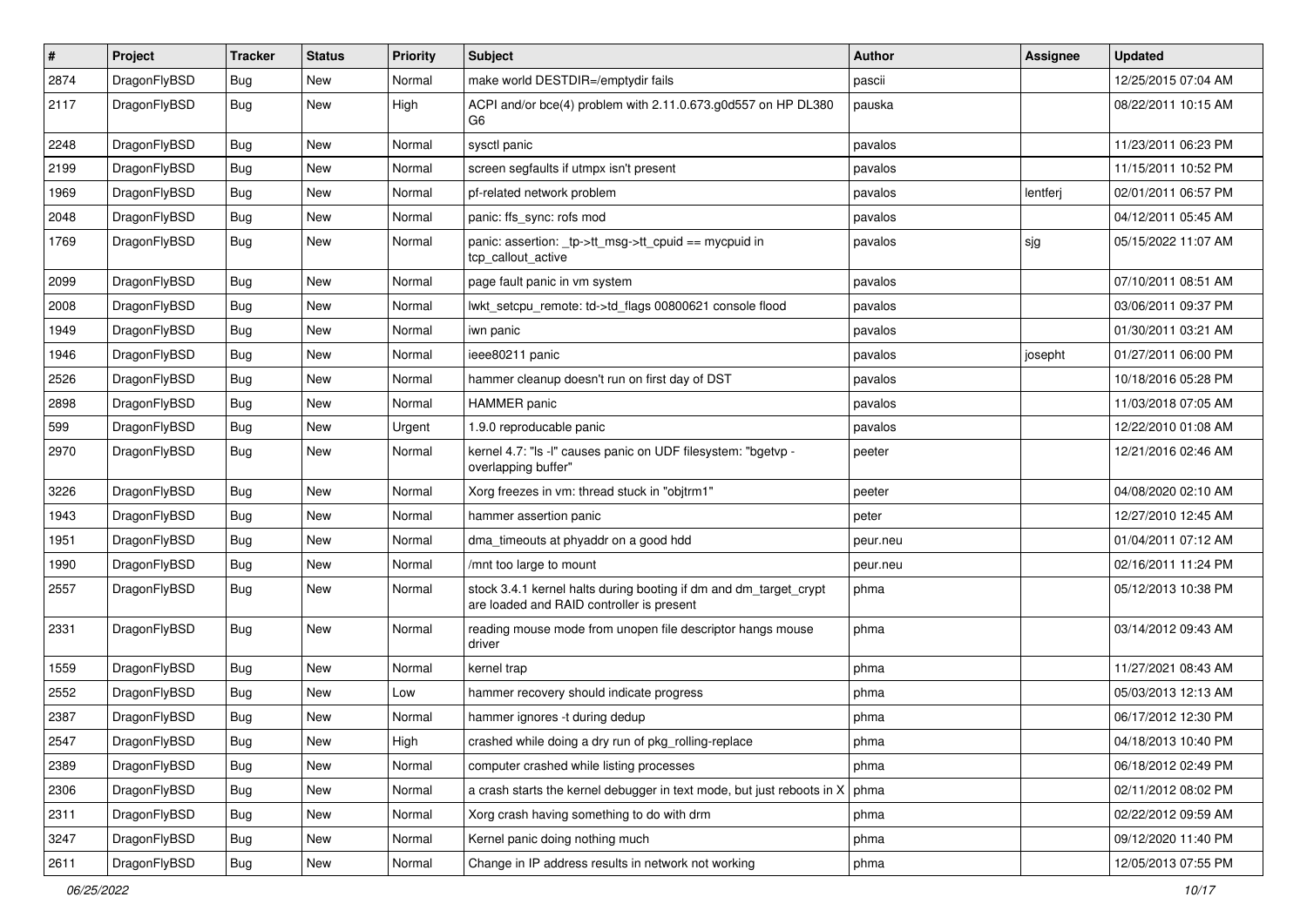| $\pmb{\#}$ | Project      | <b>Tracker</b> | <b>Status</b> | <b>Priority</b> | Subject                                                                                                        | <b>Author</b> | Assignee | <b>Updated</b>      |
|------------|--------------|----------------|---------------|-----------------|----------------------------------------------------------------------------------------------------------------|---------------|----------|---------------------|
| 2874       | DragonFlyBSD | Bug            | New           | Normal          | make world DESTDIR=/emptydir fails                                                                             | pascii        |          | 12/25/2015 07:04 AM |
| 2117       | DragonFlyBSD | Bug            | New           | High            | ACPI and/or bce(4) problem with 2.11.0.673.g0d557 on HP DL380<br>G6                                            | pauska        |          | 08/22/2011 10:15 AM |
| 2248       | DragonFlyBSD | <b>Bug</b>     | New           | Normal          | sysctl panic                                                                                                   | pavalos       |          | 11/23/2011 06:23 PM |
| 2199       | DragonFlyBSD | <b>Bug</b>     | <b>New</b>    | Normal          | screen segfaults if utmpx isn't present                                                                        | pavalos       |          | 11/15/2011 10:52 PM |
| 1969       | DragonFlyBSD | <b>Bug</b>     | New           | Normal          | pf-related network problem                                                                                     | pavalos       | lentferj | 02/01/2011 06:57 PM |
| 2048       | DragonFlyBSD | <b>Bug</b>     | New           | Normal          | panic: ffs_sync: rofs mod                                                                                      | pavalos       |          | 04/12/2011 05:45 AM |
| 1769       | DragonFlyBSD | Bug            | <b>New</b>    | Normal          | panic: assertion: _tp->tt_msg->tt_cpuid == mycpuid in<br>tcp_callout_active                                    | pavalos       | sjg      | 05/15/2022 11:07 AM |
| 2099       | DragonFlyBSD | Bug            | New           | Normal          | page fault panic in vm system                                                                                  | pavalos       |          | 07/10/2011 08:51 AM |
| 2008       | DragonFlyBSD | Bug            | <b>New</b>    | Normal          | lwkt_setcpu_remote: td->td_flags 00800621 console flood                                                        | pavalos       |          | 03/06/2011 09:37 PM |
| 1949       | DragonFlyBSD | Bug            | <b>New</b>    | Normal          | iwn panic                                                                                                      | pavalos       |          | 01/30/2011 03:21 AM |
| 1946       | DragonFlyBSD | <b>Bug</b>     | <b>New</b>    | Normal          | ieee80211 panic                                                                                                | pavalos       | josepht  | 01/27/2011 06:00 PM |
| 2526       | DragonFlyBSD | <b>Bug</b>     | <b>New</b>    | Normal          | hammer cleanup doesn't run on first day of DST                                                                 | pavalos       |          | 10/18/2016 05:28 PM |
| 2898       | DragonFlyBSD | Bug            | New           | Normal          | <b>HAMMER</b> panic                                                                                            | pavalos       |          | 11/03/2018 07:05 AM |
| 599        | DragonFlyBSD | Bug            | New           | Urgent          | 1.9.0 reproducable panic                                                                                       | pavalos       |          | 12/22/2010 01:08 AM |
| 2970       | DragonFlyBSD | Bug            | New           | Normal          | kernel 4.7: "Is -I" causes panic on UDF filesystem: "bgetvp -<br>overlapping buffer"                           | peeter        |          | 12/21/2016 02:46 AM |
| 3226       | DragonFlyBSD | <b>Bug</b>     | <b>New</b>    | Normal          | Xorg freezes in vm: thread stuck in "objtrm1"                                                                  | peeter        |          | 04/08/2020 02:10 AM |
| 1943       | DragonFlyBSD | Bug            | New           | Normal          | hammer assertion panic                                                                                         | peter         |          | 12/27/2010 12:45 AM |
| 1951       | DragonFlyBSD | <b>Bug</b>     | New           | Normal          | dma_timeouts at phyaddr on a good hdd                                                                          | peur.neu      |          | 01/04/2011 07:12 AM |
| 1990       | DragonFlyBSD | <b>Bug</b>     | <b>New</b>    | Normal          | /mnt too large to mount                                                                                        | peur.neu      |          | 02/16/2011 11:24 PM |
| 2557       | DragonFlyBSD | Bug            | New           | Normal          | stock 3.4.1 kernel halts during booting if dm and dm_target_crypt<br>are loaded and RAID controller is present | phma          |          | 05/12/2013 10:38 PM |
| 2331       | DragonFlyBSD | Bug            | New           | Normal          | reading mouse mode from unopen file descriptor hangs mouse<br>driver                                           | phma          |          | 03/14/2012 09:43 AM |
| 1559       | DragonFlyBSD | Bug            | New           | Normal          | kernel trap                                                                                                    | phma          |          | 11/27/2021 08:43 AM |
| 2552       | DragonFlyBSD | Bug            | New           | Low             | hammer recovery should indicate progress                                                                       | phma          |          | 05/03/2013 12:13 AM |
| 2387       | DragonFlyBSD | Bug            | New           | Normal          | hammer ignores -t during dedup                                                                                 | phma          |          | 06/17/2012 12:30 PM |
| 2547       | DragonFlyBSD | Bug            | New           | High            | crashed while doing a dry run of pkg_rolling-replace                                                           | phma          |          | 04/18/2013 10:40 PM |
| 2389       | DragonFlyBSD | Bug            | <b>New</b>    | Normal          | computer crashed while listing processes                                                                       | phma          |          | 06/18/2012 02:49 PM |
| 2306       | DragonFlyBSD | <b>Bug</b>     | New           | Normal          | a crash starts the kernel debugger in text mode, but just reboots in $X \mid p$ hma                            |               |          | 02/11/2012 08:02 PM |
| 2311       | DragonFlyBSD | <b>Bug</b>     | New           | Normal          | Xorg crash having something to do with drm                                                                     | phma          |          | 02/22/2012 09:59 AM |
| 3247       | DragonFlyBSD | <b>Bug</b>     | New           | Normal          | Kernel panic doing nothing much                                                                                | phma          |          | 09/12/2020 11:40 PM |
| 2611       | DragonFlyBSD | Bug            | New           | Normal          | Change in IP address results in network not working                                                            | phma          |          | 12/05/2013 07:55 PM |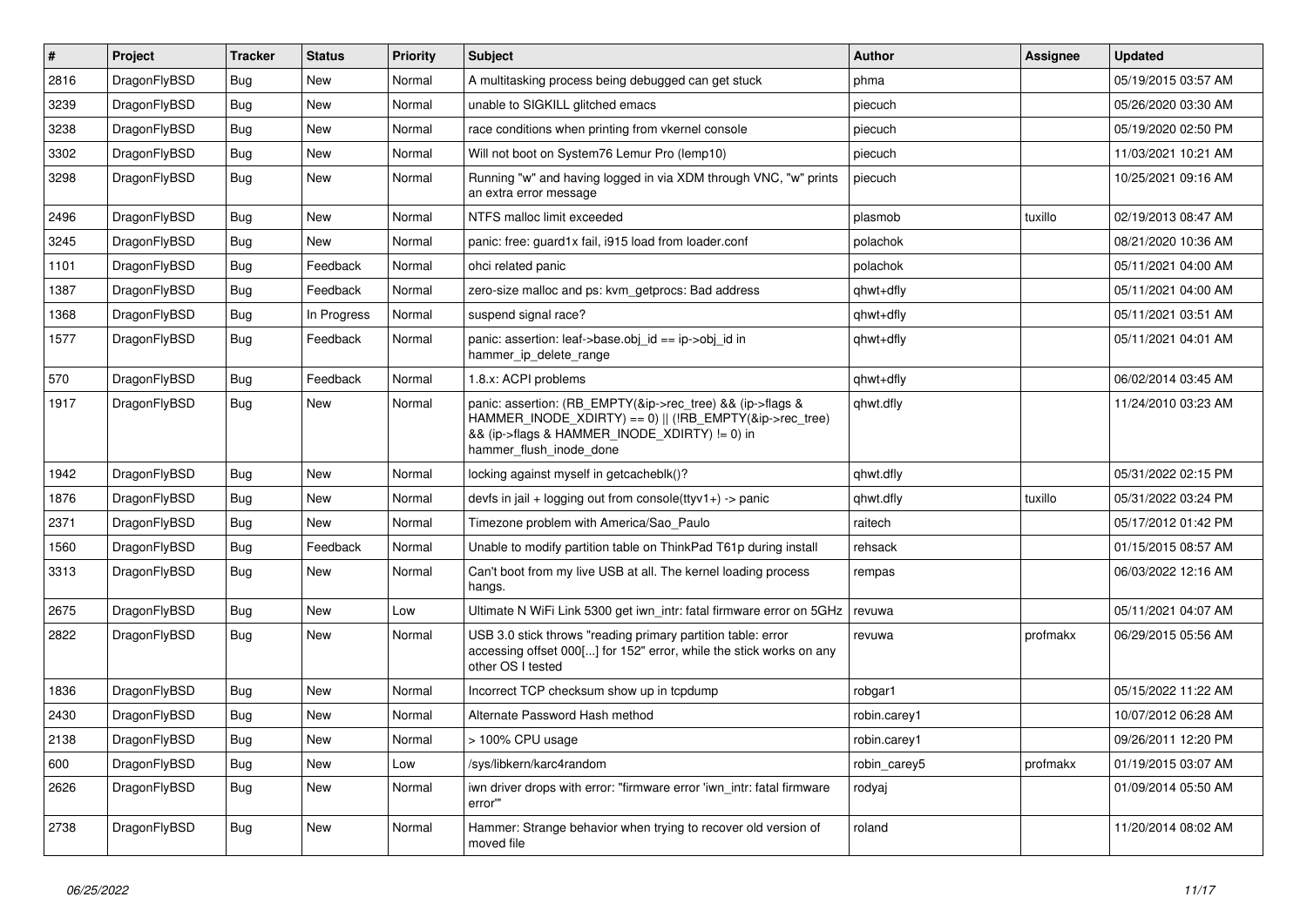| $\vert$ # | Project      | <b>Tracker</b> | <b>Status</b> | <b>Priority</b> | <b>Subject</b>                                                                                                                                                                                    | <b>Author</b> | Assignee | <b>Updated</b>      |
|-----------|--------------|----------------|---------------|-----------------|---------------------------------------------------------------------------------------------------------------------------------------------------------------------------------------------------|---------------|----------|---------------------|
| 2816      | DragonFlyBSD | Bug            | <b>New</b>    | Normal          | A multitasking process being debugged can get stuck                                                                                                                                               | phma          |          | 05/19/2015 03:57 AM |
| 3239      | DragonFlyBSD | Bug            | <b>New</b>    | Normal          | unable to SIGKILL glitched emacs                                                                                                                                                                  | piecuch       |          | 05/26/2020 03:30 AM |
| 3238      | DragonFlyBSD | Bug            | <b>New</b>    | Normal          | race conditions when printing from vkernel console                                                                                                                                                | piecuch       |          | 05/19/2020 02:50 PM |
| 3302      | DragonFlyBSD | Bug            | <b>New</b>    | Normal          | Will not boot on System76 Lemur Pro (lemp10)                                                                                                                                                      | piecuch       |          | 11/03/2021 10:21 AM |
| 3298      | DragonFlyBSD | Bug            | <b>New</b>    | Normal          | Running "w" and having logged in via XDM through VNC, "w" prints<br>an extra error message                                                                                                        | piecuch       |          | 10/25/2021 09:16 AM |
| 2496      | DragonFlyBSD | <b>Bug</b>     | <b>New</b>    | Normal          | NTFS malloc limit exceeded                                                                                                                                                                        | plasmob       | tuxillo  | 02/19/2013 08:47 AM |
| 3245      | DragonFlyBSD | <b>Bug</b>     | <b>New</b>    | Normal          | panic: free: guard1x fail, i915 load from loader.conf                                                                                                                                             | polachok      |          | 08/21/2020 10:36 AM |
| 1101      | DragonFlyBSD | Bug            | Feedback      | Normal          | ohci related panic                                                                                                                                                                                | polachok      |          | 05/11/2021 04:00 AM |
| 1387      | DragonFlyBSD | <b>Bug</b>     | Feedback      | Normal          | zero-size malloc and ps: kvm_getprocs: Bad address                                                                                                                                                | qhwt+dfly     |          | 05/11/2021 04:00 AM |
| 1368      | DragonFlyBSD | <b>Bug</b>     | In Progress   | Normal          | suspend signal race?                                                                                                                                                                              | qhwt+dfly     |          | 05/11/2021 03:51 AM |
| 1577      | DragonFlyBSD | Bug            | Feedback      | Normal          | panic: assertion: leaf->base.obj id == ip->obj id in<br>hammer ip delete range                                                                                                                    | qhwt+dfly     |          | 05/11/2021 04:01 AM |
| 570       | DragonFlyBSD | Bug            | Feedback      | Normal          | 1.8.x: ACPI problems                                                                                                                                                                              | qhwt+dfly     |          | 06/02/2014 03:45 AM |
| 1917      | DragonFlyBSD | Bug            | <b>New</b>    | Normal          | panic: assertion: (RB EMPTY(&ip->rec tree) && (ip->flags &<br>HAMMER_INODE_XDIRTY) == 0)    (!RB_EMPTY(&ip->rec_tree)<br>&& (ip->flags & HAMMER_INODE_XDIRTY) != 0) in<br>hammer flush inode done | qhwt.dfly     |          | 11/24/2010 03:23 AM |
| 1942      | DragonFlyBSD | <b>Bug</b>     | <b>New</b>    | Normal          | locking against myself in getcacheblk()?                                                                                                                                                          | qhwt.dfly     |          | 05/31/2022 02:15 PM |
| 1876      | DragonFlyBSD | <b>Bug</b>     | <b>New</b>    | Normal          | devfs in jail + logging out from console(ttyv1+) -> panic                                                                                                                                         | qhwt.dfly     | tuxillo  | 05/31/2022 03:24 PM |
| 2371      | DragonFlyBSD | Bug            | <b>New</b>    | Normal          | Timezone problem with America/Sao_Paulo                                                                                                                                                           | raitech       |          | 05/17/2012 01:42 PM |
| 1560      | DragonFlyBSD | <b>Bug</b>     | Feedback      | Normal          | Unable to modify partition table on ThinkPad T61p during install                                                                                                                                  | rehsack       |          | 01/15/2015 08:57 AM |
| 3313      | DragonFlyBSD | <b>Bug</b>     | New           | Normal          | Can't boot from my live USB at all. The kernel loading process<br>hangs.                                                                                                                          | rempas        |          | 06/03/2022 12:16 AM |
| 2675      | DragonFlyBSD | <b>Bug</b>     | <b>New</b>    | Low             | Ultimate N WiFi Link 5300 get iwn_intr: fatal firmware error on 5GHz                                                                                                                              | revuwa        |          | 05/11/2021 04:07 AM |
| 2822      | DragonFlyBSD | Bug            | <b>New</b>    | Normal          | USB 3.0 stick throws "reading primary partition table: error<br>accessing offset 000[] for 152" error, while the stick works on any<br>other OS I tested                                          | revuwa        | profmakx | 06/29/2015 05:56 AM |
| 1836      | DragonFlyBSD | <b>Bug</b>     | <b>New</b>    | Normal          | Incorrect TCP checksum show up in tcpdump                                                                                                                                                         | robgar1       |          | 05/15/2022 11:22 AM |
| 2430      | DragonFlyBSD | Bug            | <b>New</b>    | Normal          | Alternate Password Hash method                                                                                                                                                                    | robin.carey1  |          | 10/07/2012 06:28 AM |
| 2138      | DragonFlyBSD | Bug            | <b>New</b>    | Normal          | > 100% CPU usage                                                                                                                                                                                  | robin.carey1  |          | 09/26/2011 12:20 PM |
| 600       | DragonFlyBSD | <b>Bug</b>     | <b>New</b>    | Low             | /sys/libkern/karc4random                                                                                                                                                                          | robin_carey5  | profmakx | 01/19/2015 03:07 AM |
| 2626      | DragonFlyBSD | Bug            | <b>New</b>    | Normal          | iwn driver drops with error: "firmware error 'iwn intr: fatal firmware<br>error""                                                                                                                 | rodyaj        |          | 01/09/2014 05:50 AM |
| 2738      | DragonFlyBSD | Bug            | <b>New</b>    | Normal          | Hammer: Strange behavior when trying to recover old version of<br>moved file                                                                                                                      | roland        |          | 11/20/2014 08:02 AM |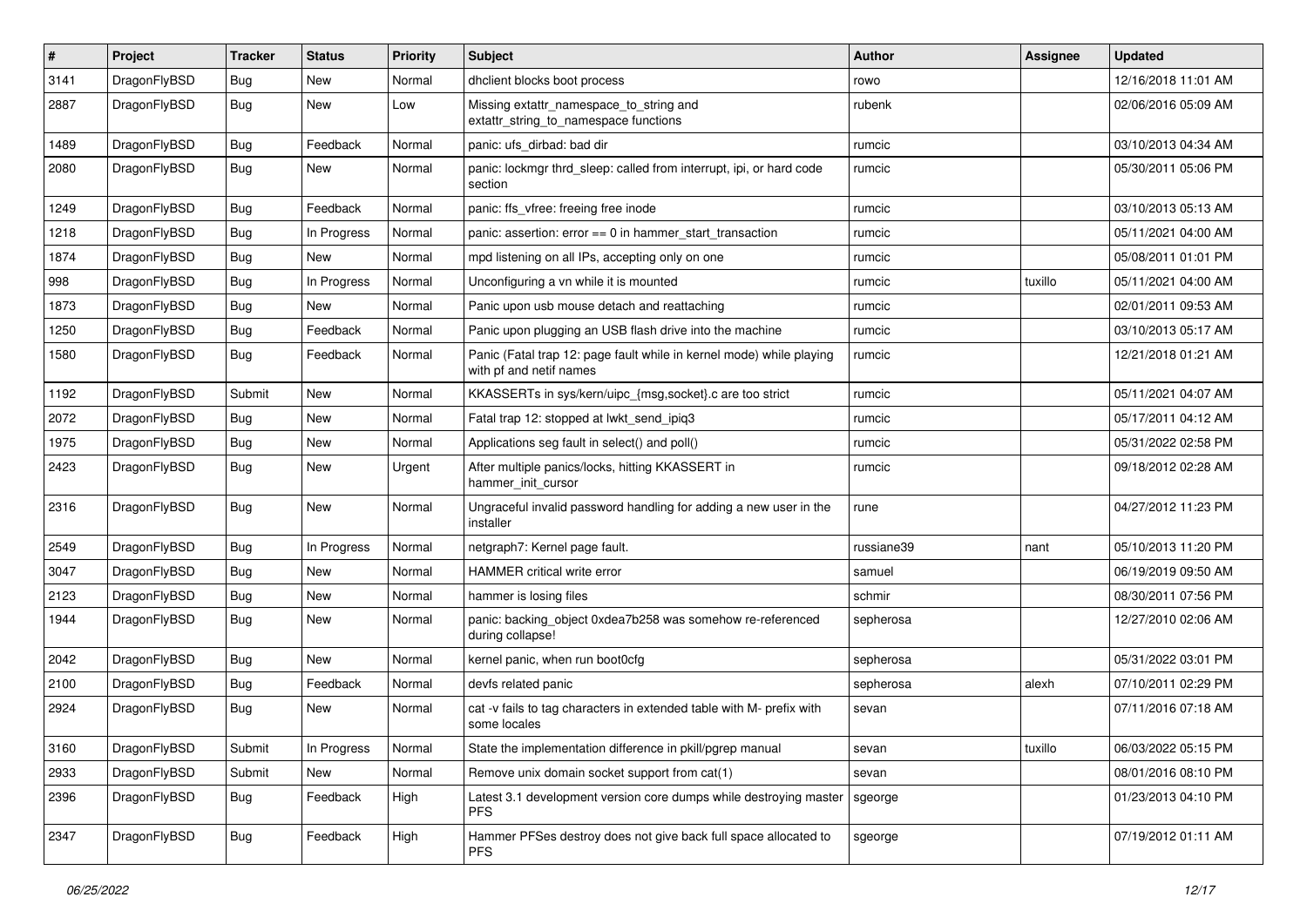| $\sharp$ | Project      | <b>Tracker</b> | <b>Status</b> | <b>Priority</b> | Subject                                                                                         | Author     | Assignee | <b>Updated</b>      |
|----------|--------------|----------------|---------------|-----------------|-------------------------------------------------------------------------------------------------|------------|----------|---------------------|
| 3141     | DragonFlyBSD | <b>Bug</b>     | <b>New</b>    | Normal          | dhclient blocks boot process                                                                    | rowo       |          | 12/16/2018 11:01 AM |
| 2887     | DragonFlyBSD | <b>Bug</b>     | New           | Low             | Missing extattr_namespace_to_string and<br>extattr_string_to_namespace functions                | rubenk     |          | 02/06/2016 05:09 AM |
| 1489     | DragonFlyBSD | <b>Bug</b>     | Feedback      | Normal          | panic: ufs dirbad: bad dir                                                                      | rumcic     |          | 03/10/2013 04:34 AM |
| 2080     | DragonFlyBSD | Bug            | New           | Normal          | panic: lockmgr thrd_sleep: called from interrupt, ipi, or hard code<br>section                  | rumcic     |          | 05/30/2011 05:06 PM |
| 1249     | DragonFlyBSD | Bug            | Feedback      | Normal          | panic: ffs_vfree: freeing free inode                                                            | rumcic     |          | 03/10/2013 05:13 AM |
| 1218     | DragonFlyBSD | <b>Bug</b>     | In Progress   | Normal          | panic: assertion: $error == 0$ in hammer start transaction                                      | rumcic     |          | 05/11/2021 04:00 AM |
| 1874     | DragonFlyBSD | <b>Bug</b>     | <b>New</b>    | Normal          | mpd listening on all IPs, accepting only on one                                                 | rumcic     |          | 05/08/2011 01:01 PM |
| 998      | DragonFlyBSD | Bug            | In Progress   | Normal          | Unconfiguring a vn while it is mounted                                                          | rumcic     | tuxillo  | 05/11/2021 04:00 AM |
| 1873     | DragonFlyBSD | <b>Bug</b>     | <b>New</b>    | Normal          | Panic upon usb mouse detach and reattaching                                                     | rumcic     |          | 02/01/2011 09:53 AM |
| 1250     | DragonFlyBSD | <b>Bug</b>     | Feedback      | Normal          | Panic upon plugging an USB flash drive into the machine                                         | rumcic     |          | 03/10/2013 05:17 AM |
| 1580     | DragonFlyBSD | Bug            | Feedback      | Normal          | Panic (Fatal trap 12: page fault while in kernel mode) while playing<br>with pf and netif names | rumcic     |          | 12/21/2018 01:21 AM |
| 1192     | DragonFlyBSD | Submit         | <b>New</b>    | Normal          | KKASSERTs in sys/kern/uipc_{msg,socket}.c are too strict                                        | rumcic     |          | 05/11/2021 04:07 AM |
| 2072     | DragonFlyBSD | Bug            | New           | Normal          | Fatal trap 12: stopped at lwkt_send_ipiq3                                                       | rumcic     |          | 05/17/2011 04:12 AM |
| 1975     | DragonFlyBSD | <b>Bug</b>     | <b>New</b>    | Normal          | Applications seg fault in select() and poll()                                                   | rumcic     |          | 05/31/2022 02:58 PM |
| 2423     | DragonFlyBSD | <b>Bug</b>     | New           | Urgent          | After multiple panics/locks, hitting KKASSERT in<br>hammer init cursor                          | rumcic     |          | 09/18/2012 02:28 AM |
| 2316     | DragonFlyBSD | Bug            | <b>New</b>    | Normal          | Ungraceful invalid password handling for adding a new user in the<br>installer                  | rune       |          | 04/27/2012 11:23 PM |
| 2549     | DragonFlyBSD | Bug            | In Progress   | Normal          | netgraph7: Kernel page fault.                                                                   | russiane39 | nant     | 05/10/2013 11:20 PM |
| 3047     | DragonFlyBSD | Bug            | New           | Normal          | HAMMER critical write error                                                                     | samuel     |          | 06/19/2019 09:50 AM |
| 2123     | DragonFlyBSD | <b>Bug</b>     | New           | Normal          | hammer is losing files                                                                          | schmir     |          | 08/30/2011 07:56 PM |
| 1944     | DragonFlyBSD | <b>Bug</b>     | <b>New</b>    | Normal          | panic: backing object 0xdea7b258 was somehow re-referenced<br>during collapse!                  | sepherosa  |          | 12/27/2010 02:06 AM |
| 2042     | DragonFlyBSD | Bug            | <b>New</b>    | Normal          | kernel panic, when run boot0cfg                                                                 | sepherosa  |          | 05/31/2022 03:01 PM |
| 2100     | DragonFlyBSD | <b>Bug</b>     | Feedback      | Normal          | devfs related panic                                                                             | sepherosa  | alexh    | 07/10/2011 02:29 PM |
| 2924     | DragonFlyBSD | Bug            | New           | Normal          | cat -v fails to tag characters in extended table with M- prefix with<br>some locales            | sevan      |          | 07/11/2016 07:18 AM |
| 3160     | DragonFlyBSD | Submit         | In Progress   | Normal          | State the implementation difference in pkill/pgrep manual                                       | sevan      | tuxillo  | 06/03/2022 05:15 PM |
| 2933     | DragonFlyBSD | Submit         | New           | Normal          | Remove unix domain socket support from cat(1)                                                   | sevan      |          | 08/01/2016 08:10 PM |
| 2396     | DragonFlyBSD | <b>Bug</b>     | Feedback      | High            | Latest 3.1 development version core dumps while destroying master<br><b>PFS</b>                 | sgeorge    |          | 01/23/2013 04:10 PM |
| 2347     | DragonFlyBSD | <b>Bug</b>     | Feedback      | High            | Hammer PFSes destroy does not give back full space allocated to<br><b>PFS</b>                   | sgeorge    |          | 07/19/2012 01:11 AM |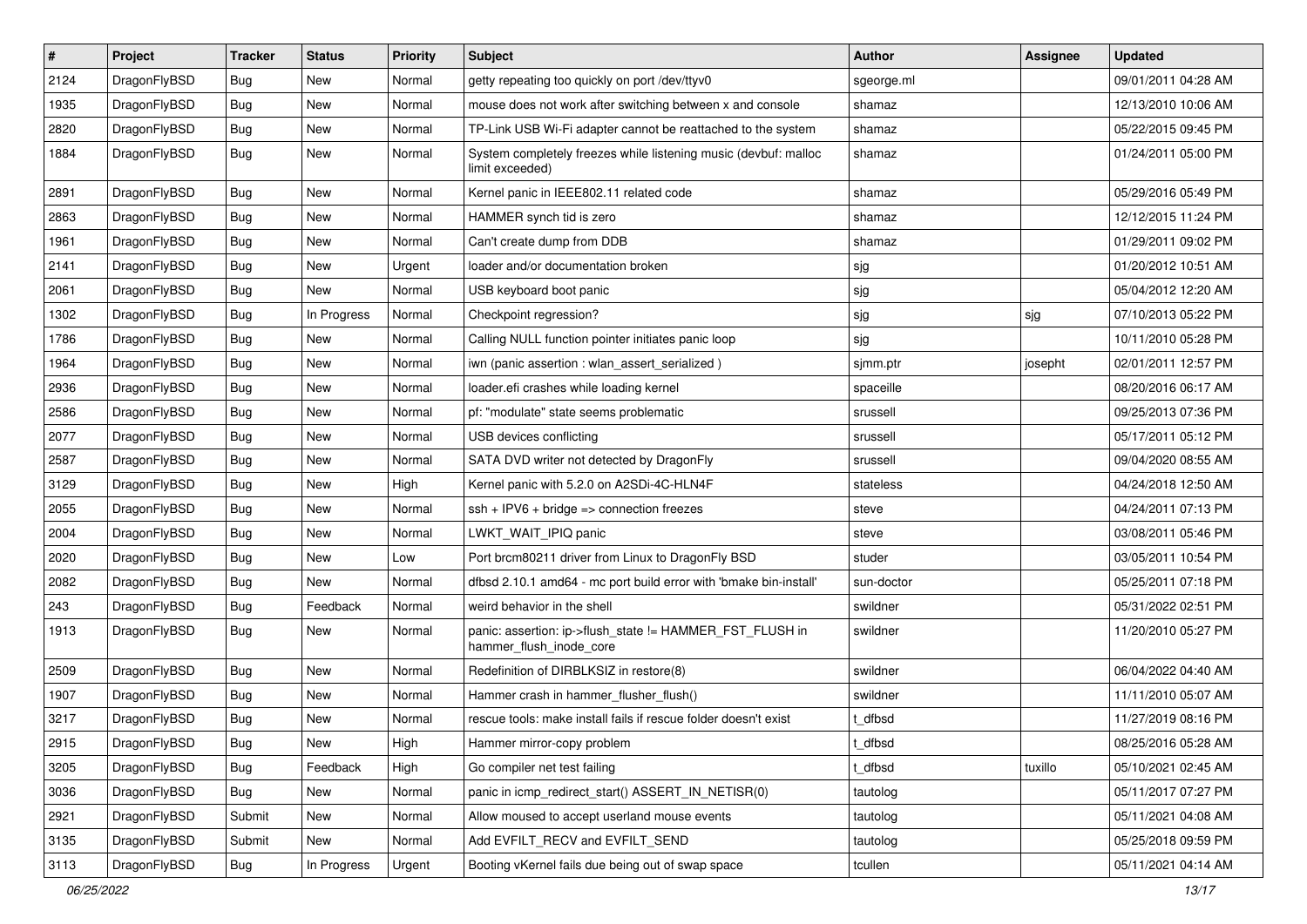| $\vert$ # | Project      | <b>Tracker</b> | <b>Status</b> | <b>Priority</b> | Subject                                                                             | Author     | Assignee | <b>Updated</b>      |
|-----------|--------------|----------------|---------------|-----------------|-------------------------------------------------------------------------------------|------------|----------|---------------------|
| 2124      | DragonFlyBSD | Bug            | <b>New</b>    | Normal          | getty repeating too quickly on port /dev/ttyv0                                      | sgeorge.ml |          | 09/01/2011 04:28 AM |
| 1935      | DragonFlyBSD | Bug            | <b>New</b>    | Normal          | mouse does not work after switching between x and console                           | shamaz     |          | 12/13/2010 10:06 AM |
| 2820      | DragonFlyBSD | <b>Bug</b>     | New           | Normal          | TP-Link USB Wi-Fi adapter cannot be reattached to the system                        | shamaz     |          | 05/22/2015 09:45 PM |
| 1884      | DragonFlyBSD | Bug            | New           | Normal          | System completely freezes while listening music (devbuf: malloc<br>limit exceeded)  | shamaz     |          | 01/24/2011 05:00 PM |
| 2891      | DragonFlyBSD | <b>Bug</b>     | <b>New</b>    | Normal          | Kernel panic in IEEE802.11 related code                                             | shamaz     |          | 05/29/2016 05:49 PM |
| 2863      | DragonFlyBSD | Bug            | <b>New</b>    | Normal          | HAMMER synch tid is zero                                                            | shamaz     |          | 12/12/2015 11:24 PM |
| 1961      | DragonFlyBSD | <b>Bug</b>     | New           | Normal          | Can't create dump from DDB                                                          | shamaz     |          | 01/29/2011 09:02 PM |
| 2141      | DragonFlyBSD | Bug            | <b>New</b>    | Urgent          | loader and/or documentation broken                                                  | sjg        |          | 01/20/2012 10:51 AM |
| 2061      | DragonFlyBSD | Bug            | New           | Normal          | USB keyboard boot panic                                                             | sjg        |          | 05/04/2012 12:20 AM |
| 1302      | DragonFlyBSD | <b>Bug</b>     | In Progress   | Normal          | Checkpoint regression?                                                              | sjg        | sjg      | 07/10/2013 05:22 PM |
| 1786      | DragonFlyBSD | Bug            | <b>New</b>    | Normal          | Calling NULL function pointer initiates panic loop                                  | sjg        |          | 10/11/2010 05:28 PM |
| 1964      | DragonFlyBSD | <b>Bug</b>     | New           | Normal          | iwn (panic assertion : wlan assert serialized)                                      | sjmm.ptr   | josepht  | 02/01/2011 12:57 PM |
| 2936      | DragonFlyBSD | <b>Bug</b>     | <b>New</b>    | Normal          | loader.efi crashes while loading kernel                                             | spaceille  |          | 08/20/2016 06:17 AM |
| 2586      | DragonFlyBSD | <b>Bug</b>     | <b>New</b>    | Normal          | pf: "modulate" state seems problematic                                              | srussell   |          | 09/25/2013 07:36 PM |
| 2077      | DragonFlyBSD | Bug            | <b>New</b>    | Normal          | USB devices conflicting                                                             | srussell   |          | 05/17/2011 05:12 PM |
| 2587      | DragonFlyBSD | Bug            | <b>New</b>    | Normal          | SATA DVD writer not detected by DragonFly                                           | srussell   |          | 09/04/2020 08:55 AM |
| 3129      | DragonFlyBSD | Bug            | New           | High            | Kernel panic with 5.2.0 on A2SDi-4C-HLN4F                                           | stateless  |          | 04/24/2018 12:50 AM |
| 2055      | DragonFlyBSD | Bug            | New           | Normal          | ssh + IPV6 + bridge => connection freezes                                           | steve      |          | 04/24/2011 07:13 PM |
| 2004      | DragonFlyBSD | <b>Bug</b>     | <b>New</b>    | Normal          | LWKT_WAIT_IPIQ panic                                                                | steve      |          | 03/08/2011 05:46 PM |
| 2020      | DragonFlyBSD | <b>Bug</b>     | New           | Low             | Port brcm80211 driver from Linux to DragonFly BSD                                   | studer     |          | 03/05/2011 10:54 PM |
| 2082      | DragonFlyBSD | Bug            | New           | Normal          | dfbsd 2.10.1 amd64 - mc port build error with 'bmake bin-install'                   | sun-doctor |          | 05/25/2011 07:18 PM |
| 243       | DragonFlyBSD | Bug            | Feedback      | Normal          | weird behavior in the shell                                                         | swildner   |          | 05/31/2022 02:51 PM |
| 1913      | DragonFlyBSD | Bug            | New           | Normal          | panic: assertion: ip->flush_state != HAMMER_FST_FLUSH in<br>hammer_flush_inode_core | swildner   |          | 11/20/2010 05:27 PM |
| 2509      | DragonFlyBSD | Bug            | New           | Normal          | Redefinition of DIRBLKSIZ in restore(8)                                             | swildner   |          | 06/04/2022 04:40 AM |
| 1907      | DragonFlyBSD | <b>Bug</b>     | <b>New</b>    | Normal          | Hammer crash in hammer_flusher_flush()                                              | swildner   |          | 11/11/2010 05:07 AM |
| 3217      | DragonFlyBSD | <b>Bug</b>     | <b>New</b>    | Normal          | rescue tools: make install fails if rescue folder doesn't exist                     | t dfbsd    |          | 11/27/2019 08:16 PM |
| 2915      | DragonFlyBSD | Bug            | New           | High            | Hammer mirror-copy problem                                                          | t dfbsd    |          | 08/25/2016 05:28 AM |
| 3205      | DragonFlyBSD | Bug            | Feedback      | High            | Go compiler net test failing                                                        | t dfbsd    | tuxillo  | 05/10/2021 02:45 AM |
| 3036      | DragonFlyBSD | Bug            | New           | Normal          | panic in icmp_redirect_start() ASSERT_IN_NETISR(0)                                  | tautolog   |          | 05/11/2017 07:27 PM |
| 2921      | DragonFlyBSD | Submit         | New           | Normal          | Allow moused to accept userland mouse events                                        | tautolog   |          | 05/11/2021 04:08 AM |
| 3135      | DragonFlyBSD | Submit         | New           | Normal          | Add EVFILT_RECV and EVFILT_SEND                                                     | tautolog   |          | 05/25/2018 09:59 PM |
| 3113      | DragonFlyBSD | Bug            | In Progress   | Urgent          | Booting vKernel fails due being out of swap space                                   | tcullen    |          | 05/11/2021 04:14 AM |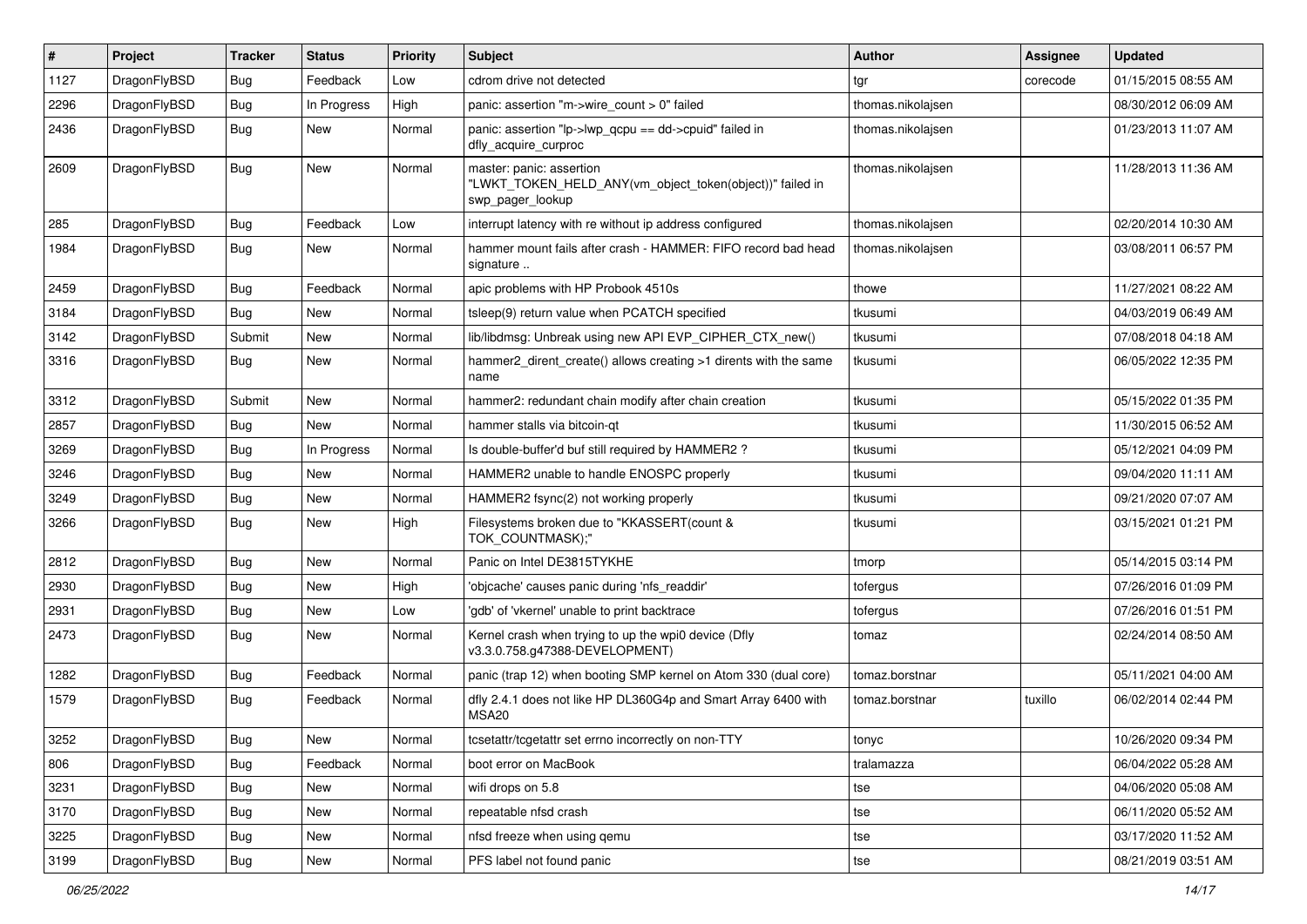| #    | Project      | <b>Tracker</b> | <b>Status</b> | <b>Priority</b> | <b>Subject</b>                                                                                           | Author            | Assignee | <b>Updated</b>      |
|------|--------------|----------------|---------------|-----------------|----------------------------------------------------------------------------------------------------------|-------------------|----------|---------------------|
| 1127 | DragonFlyBSD | Bug            | Feedback      | Low             | cdrom drive not detected                                                                                 | tgr               | corecode | 01/15/2015 08:55 AM |
| 2296 | DragonFlyBSD | Bug            | In Progress   | High            | panic: assertion "m->wire_count > 0" failed                                                              | thomas.nikolajsen |          | 08/30/2012 06:09 AM |
| 2436 | DragonFlyBSD | Bug            | New           | Normal          | panic: assertion "lp->lwp_qcpu == dd->cpuid" failed in<br>dfly_acquire_curproc                           | thomas.nikolajsen |          | 01/23/2013 11:07 AM |
| 2609 | DragonFlyBSD | Bug            | New           | Normal          | master: panic: assertion<br>"LWKT_TOKEN_HELD_ANY(vm_object_token(object))" failed in<br>swp_pager_lookup | thomas.nikolajsen |          | 11/28/2013 11:36 AM |
| 285  | DragonFlyBSD | Bug            | Feedback      | Low             | interrupt latency with re without ip address configured                                                  | thomas.nikolajsen |          | 02/20/2014 10:30 AM |
| 1984 | DragonFlyBSD | Bug            | <b>New</b>    | Normal          | hammer mount fails after crash - HAMMER: FIFO record bad head<br>signature                               | thomas.nikolajsen |          | 03/08/2011 06:57 PM |
| 2459 | DragonFlyBSD | Bug            | Feedback      | Normal          | apic problems with HP Probook 4510s                                                                      | thowe             |          | 11/27/2021 08:22 AM |
| 3184 | DragonFlyBSD | Bug            | <b>New</b>    | Normal          | tsleep(9) return value when PCATCH specified                                                             | tkusumi           |          | 04/03/2019 06:49 AM |
| 3142 | DragonFlyBSD | Submit         | New           | Normal          | lib/libdmsg: Unbreak using new API EVP_CIPHER_CTX_new()                                                  | tkusumi           |          | 07/08/2018 04:18 AM |
| 3316 | DragonFlyBSD | <b>Bug</b>     | New           | Normal          | hammer2_dirent_create() allows creating >1 dirents with the same<br>name                                 | tkusumi           |          | 06/05/2022 12:35 PM |
| 3312 | DragonFlyBSD | Submit         | <b>New</b>    | Normal          | hammer2: redundant chain modify after chain creation                                                     | tkusumi           |          | 05/15/2022 01:35 PM |
| 2857 | DragonFlyBSD | Bug            | New           | Normal          | hammer stalls via bitcoin-qt                                                                             | tkusumi           |          | 11/30/2015 06:52 AM |
| 3269 | DragonFlyBSD | Bug            | In Progress   | Normal          | Is double-buffer'd buf still required by HAMMER2 ?                                                       | tkusumi           |          | 05/12/2021 04:09 PM |
| 3246 | DragonFlyBSD | Bug            | New           | Normal          | HAMMER2 unable to handle ENOSPC properly                                                                 | tkusumi           |          | 09/04/2020 11:11 AM |
| 3249 | DragonFlyBSD | Bug            | New           | Normal          | HAMMER2 fsync(2) not working properly                                                                    | tkusumi           |          | 09/21/2020 07:07 AM |
| 3266 | DragonFlyBSD | Bug            | New           | High            | Filesystems broken due to "KKASSERT(count &<br>TOK_COUNTMASK);"                                          | tkusumi           |          | 03/15/2021 01:21 PM |
| 2812 | DragonFlyBSD | Bug            | New           | Normal          | Panic on Intel DE3815TYKHE                                                                               | tmorp             |          | 05/14/2015 03:14 PM |
| 2930 | DragonFlyBSD | Bug            | New           | High            | 'objcache' causes panic during 'nfs readdir'                                                             | tofergus          |          | 07/26/2016 01:09 PM |
| 2931 | DragonFlyBSD | Bug            | <b>New</b>    | Low             | 'gdb' of 'vkernel' unable to print backtrace                                                             | tofergus          |          | 07/26/2016 01:51 PM |
| 2473 | DragonFlyBSD | Bug            | New           | Normal          | Kernel crash when trying to up the wpi0 device (Dfly<br>v3.3.0.758.g47388-DEVELOPMENT)                   | tomaz             |          | 02/24/2014 08:50 AM |
| 1282 | DragonFlyBSD | Bug            | Feedback      | Normal          | panic (trap 12) when booting SMP kernel on Atom 330 (dual core)                                          | tomaz.borstnar    |          | 05/11/2021 04:00 AM |
| 1579 | DragonFlyBSD | Bug            | Feedback      | Normal          | dfly 2.4.1 does not like HP DL360G4p and Smart Array 6400 with<br>MSA <sub>20</sub>                      | tomaz.borstnar    | tuxillo  | 06/02/2014 02:44 PM |
| 3252 | DragonFlyBSD | <b>Bug</b>     | New           | Normal          | tcsetattr/tcgetattr set errno incorrectly on non-TTY                                                     | tonyc             |          | 10/26/2020 09:34 PM |
| 806  | DragonFlyBSD | Bug            | Feedback      | Normal          | boot error on MacBook                                                                                    | tralamazza        |          | 06/04/2022 05:28 AM |
| 3231 | DragonFlyBSD | <b>Bug</b>     | New           | Normal          | wifi drops on 5.8                                                                                        | tse               |          | 04/06/2020 05:08 AM |
| 3170 | DragonFlyBSD | <b>Bug</b>     | <b>New</b>    | Normal          | repeatable nfsd crash                                                                                    | tse               |          | 06/11/2020 05:52 AM |
| 3225 | DragonFlyBSD | <b>Bug</b>     | New           | Normal          | nfsd freeze when using qemu                                                                              | tse               |          | 03/17/2020 11:52 AM |
| 3199 | DragonFlyBSD | <b>Bug</b>     | New           | Normal          | PFS label not found panic                                                                                | tse               |          | 08/21/2019 03:51 AM |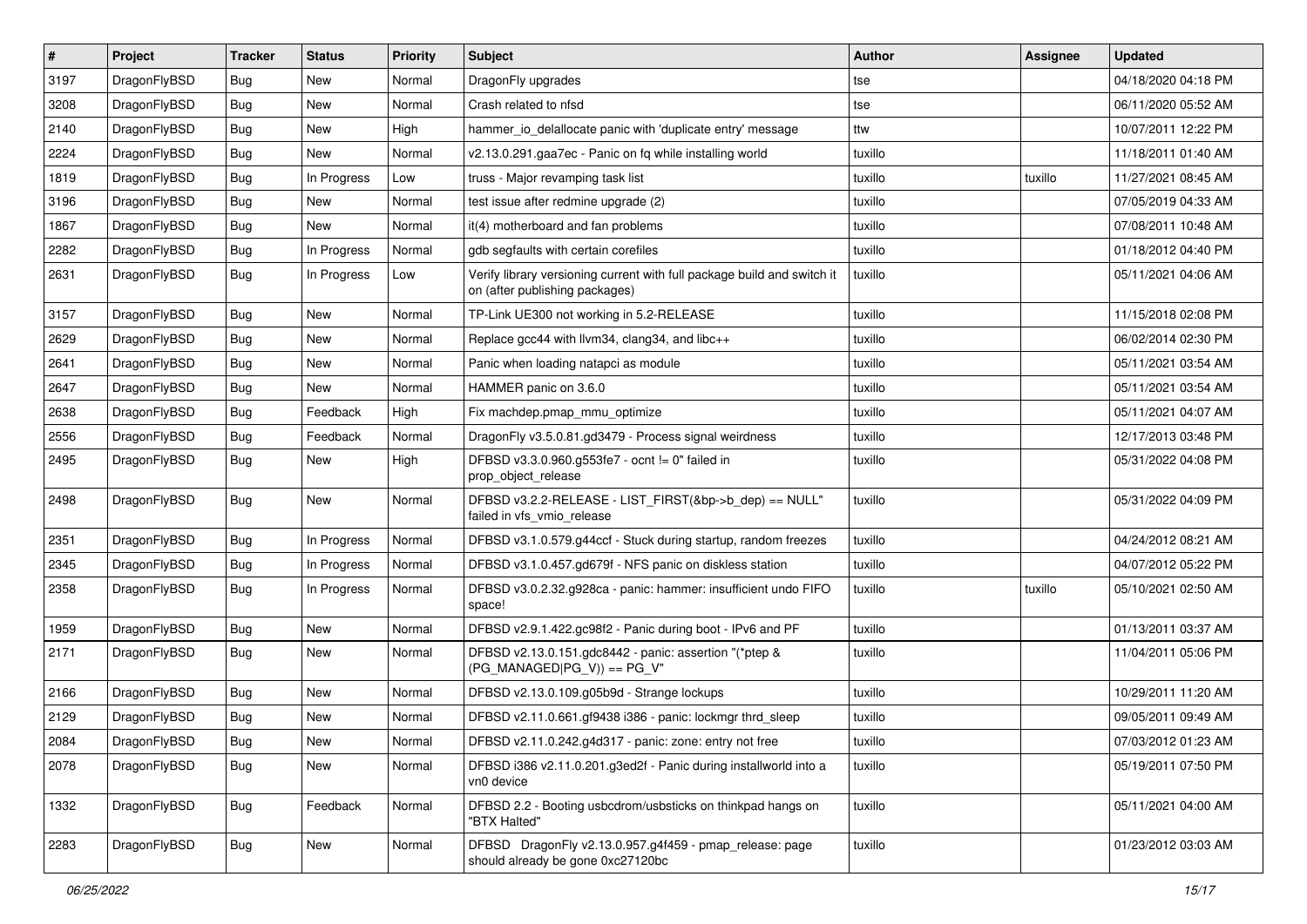| $\vert$ # | Project      | <b>Tracker</b> | <b>Status</b> | <b>Priority</b> | <b>Subject</b>                                                                                            | Author  | Assignee | <b>Updated</b>      |
|-----------|--------------|----------------|---------------|-----------------|-----------------------------------------------------------------------------------------------------------|---------|----------|---------------------|
| 3197      | DragonFlyBSD | Bug            | New           | Normal          | DragonFly upgrades                                                                                        | tse     |          | 04/18/2020 04:18 PM |
| 3208      | DragonFlyBSD | Bug            | <b>New</b>    | Normal          | Crash related to nfsd                                                                                     | tse     |          | 06/11/2020 05:52 AM |
| 2140      | DragonFlyBSD | Bug            | New           | High            | hammer io delallocate panic with 'duplicate entry' message                                                | ttw     |          | 10/07/2011 12:22 PM |
| 2224      | DragonFlyBSD | Bug            | New           | Normal          | v2.13.0.291.gaa7ec - Panic on fq while installing world                                                   | tuxillo |          | 11/18/2011 01:40 AM |
| 1819      | DragonFlyBSD | Bug            | In Progress   | Low             | truss - Major revamping task list                                                                         | tuxillo | tuxillo  | 11/27/2021 08:45 AM |
| 3196      | DragonFlyBSD | Bug            | New           | Normal          | test issue after redmine upgrade (2)                                                                      | tuxillo |          | 07/05/2019 04:33 AM |
| 1867      | DragonFlyBSD | <b>Bug</b>     | <b>New</b>    | Normal          | it(4) motherboard and fan problems                                                                        | tuxillo |          | 07/08/2011 10:48 AM |
| 2282      | DragonFlyBSD | <b>Bug</b>     | In Progress   | Normal          | gdb segfaults with certain corefiles                                                                      | tuxillo |          | 01/18/2012 04:40 PM |
| 2631      | DragonFlyBSD | <b>Bug</b>     | In Progress   | Low             | Verify library versioning current with full package build and switch it<br>on (after publishing packages) | tuxillo |          | 05/11/2021 04:06 AM |
| 3157      | DragonFlyBSD | Bug            | <b>New</b>    | Normal          | TP-Link UE300 not working in 5.2-RELEASE                                                                  | tuxillo |          | 11/15/2018 02:08 PM |
| 2629      | DragonFlyBSD | <b>Bug</b>     | New           | Normal          | Replace gcc44 with llvm34, clang34, and libc++                                                            | tuxillo |          | 06/02/2014 02:30 PM |
| 2641      | DragonFlyBSD | <b>Bug</b>     | New           | Normal          | Panic when loading natapci as module                                                                      | tuxillo |          | 05/11/2021 03:54 AM |
| 2647      | DragonFlyBSD | <b>Bug</b>     | New           | Normal          | HAMMER panic on 3.6.0                                                                                     | tuxillo |          | 05/11/2021 03:54 AM |
| 2638      | DragonFlyBSD | Bug            | Feedback      | High            | Fix machdep.pmap_mmu_optimize                                                                             | tuxillo |          | 05/11/2021 04:07 AM |
| 2556      | DragonFlyBSD | <b>Bug</b>     | Feedback      | Normal          | DragonFly v3.5.0.81.gd3479 - Process signal weirdness                                                     | tuxillo |          | 12/17/2013 03:48 PM |
| 2495      | DragonFlyBSD | Bug            | New           | High            | DFBSD v3.3.0.960.g553fe7 - ocnt != 0" failed in<br>prop_object_release                                    | tuxillo |          | 05/31/2022 04:08 PM |
| 2498      | DragonFlyBSD | Bug            | New           | Normal          | DFBSD v3.2.2-RELEASE - LIST_FIRST(&bp->b_dep) == NULL"<br>failed in vfs vmio release                      | tuxillo |          | 05/31/2022 04:09 PM |
| 2351      | DragonFlyBSD | Bug            | In Progress   | Normal          | DFBSD v3.1.0.579.g44ccf - Stuck during startup, random freezes                                            | tuxillo |          | 04/24/2012 08:21 AM |
| 2345      | DragonFlyBSD | <b>Bug</b>     | In Progress   | Normal          | DFBSD v3.1.0.457.gd679f - NFS panic on diskless station                                                   | tuxillo |          | 04/07/2012 05:22 PM |
| 2358      | DragonFlyBSD | Bug            | In Progress   | Normal          | DFBSD v3.0.2.32.g928ca - panic: hammer: insufficient undo FIFO<br>space!                                  | tuxillo | tuxillo  | 05/10/2021 02:50 AM |
| 1959      | DragonFlyBSD | Bug            | <b>New</b>    | Normal          | DFBSD v2.9.1.422.gc98f2 - Panic during boot - IPv6 and PF                                                 | tuxillo |          | 01/13/2011 03:37 AM |
| 2171      | DragonFlyBSD | Bug            | New           | Normal          | DFBSD v2.13.0.151.gdc8442 - panic: assertion "(*ptep &<br>$(PG$ MANAGED PG_V)) == PG_V"                   | tuxillo |          | 11/04/2011 05:06 PM |
| 2166      | DragonFlyBSD | Bug            | <b>New</b>    | Normal          | DFBSD v2.13.0.109.g05b9d - Strange lockups                                                                | tuxillo |          | 10/29/2011 11:20 AM |
| 2129      | DragonFlyBSD | <b>Bug</b>     | New           | Normal          | DFBSD v2.11.0.661.gf9438 i386 - panic: lockmgr thrd_sleep                                                 | tuxillo |          | 09/05/2011 09:49 AM |
| 2084      | DragonFlyBSD | <b>Bug</b>     | New           | Normal          | DFBSD v2.11.0.242.g4d317 - panic: zone: entry not free                                                    | tuxillo |          | 07/03/2012 01:23 AM |
| 2078      | DragonFlyBSD | Bug            | New           | Normal          | DFBSD i386 v2.11.0.201.g3ed2f - Panic during installworld into a<br>vn0 device                            | tuxillo |          | 05/19/2011 07:50 PM |
| 1332      | DragonFlyBSD | Bug            | Feedback      | Normal          | DFBSD 2.2 - Booting usbcdrom/usbsticks on thinkpad hangs on<br>"BTX Halted"                               | tuxillo |          | 05/11/2021 04:00 AM |
| 2283      | DragonFlyBSD | <b>Bug</b>     | New           | Normal          | DFBSD DragonFly v2.13.0.957.g4f459 - pmap_release: page<br>should already be gone 0xc27120bc              | tuxillo |          | 01/23/2012 03:03 AM |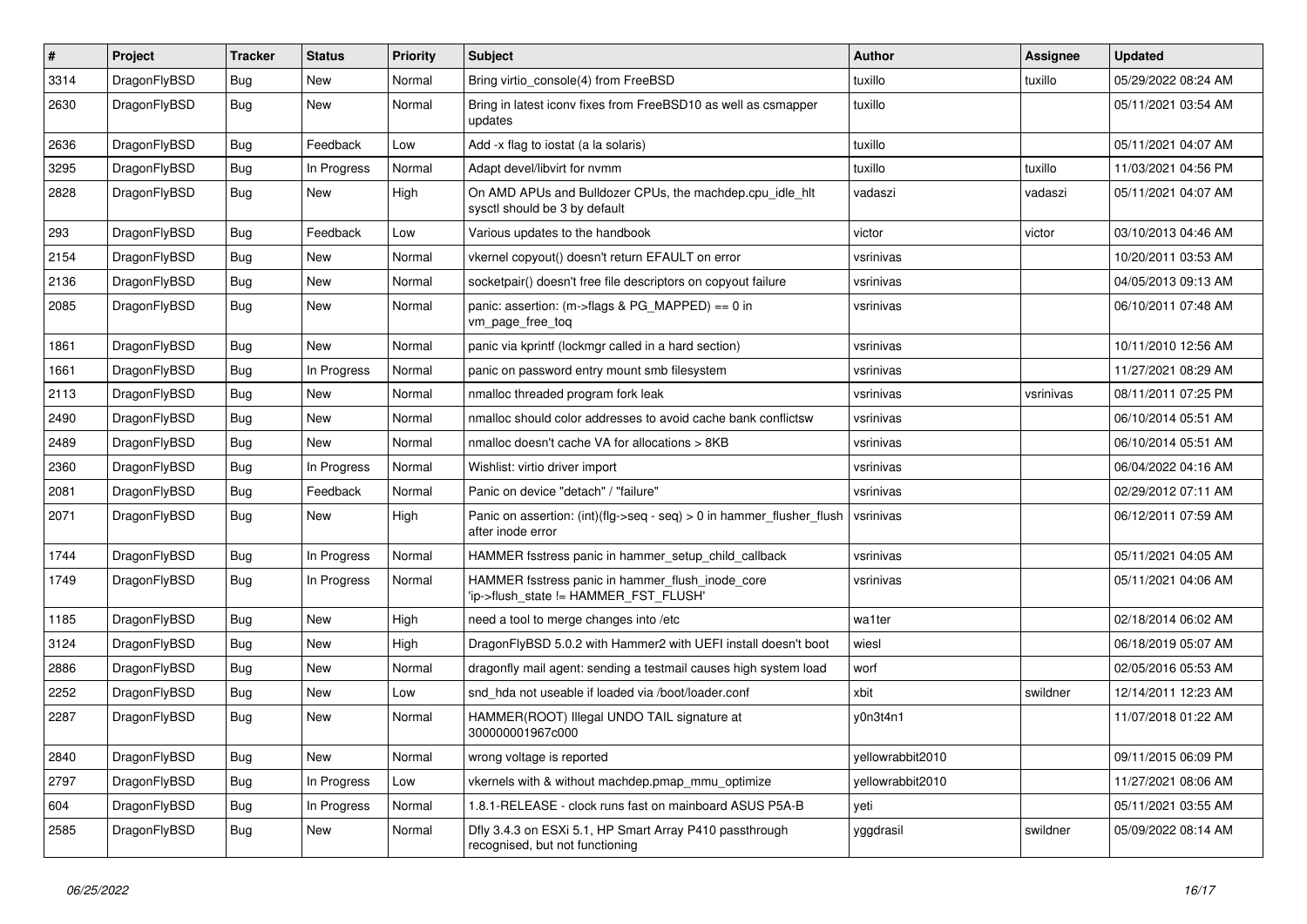| #    | Project      | <b>Tracker</b> | <b>Status</b> | <b>Priority</b> | <b>Subject</b>                                                                                | Author           | <b>Assignee</b> | <b>Updated</b>      |
|------|--------------|----------------|---------------|-----------------|-----------------------------------------------------------------------------------------------|------------------|-----------------|---------------------|
| 3314 | DragonFlyBSD | <b>Bug</b>     | <b>New</b>    | Normal          | Bring virtio console(4) from FreeBSD                                                          | tuxillo          | tuxillo         | 05/29/2022 08:24 AM |
| 2630 | DragonFlyBSD | <b>Bug</b>     | New           | Normal          | Bring in latest iconv fixes from FreeBSD10 as well as csmapper<br>updates                     | tuxillo          |                 | 05/11/2021 03:54 AM |
| 2636 | DragonFlyBSD | Bug            | Feedback      | Low             | Add -x flag to iostat (a la solaris)                                                          | tuxillo          |                 | 05/11/2021 04:07 AM |
| 3295 | DragonFlyBSD | <b>Bug</b>     | In Progress   | Normal          | Adapt devel/libvirt for nvmm                                                                  | tuxillo          | tuxillo         | 11/03/2021 04:56 PM |
| 2828 | DragonFlyBSD | <b>Bug</b>     | New           | High            | On AMD APUs and Bulldozer CPUs, the machdep.cpu_idle_hlt<br>sysctl should be 3 by default     | vadaszi          | vadaszi         | 05/11/2021 04:07 AM |
| 293  | DragonFlyBSD | Bug            | Feedback      | Low             | Various updates to the handbook                                                               | victor           | victor          | 03/10/2013 04:46 AM |
| 2154 | DragonFlyBSD | <b>Bug</b>     | New           | Normal          | vkernel copyout() doesn't return EFAULT on error                                              | vsrinivas        |                 | 10/20/2011 03:53 AM |
| 2136 | DragonFlyBSD | Bug            | <b>New</b>    | Normal          | socketpair() doesn't free file descriptors on copyout failure                                 | vsrinivas        |                 | 04/05/2013 09:13 AM |
| 2085 | DragonFlyBSD | <b>Bug</b>     | New           | Normal          | panic: assertion: (m->flags & PG_MAPPED) == 0 in<br>vm_page_free_toq                          | vsrinivas        |                 | 06/10/2011 07:48 AM |
| 1861 | DragonFlyBSD | Bug            | <b>New</b>    | Normal          | panic via kprintf (lockmgr called in a hard section)                                          | vsrinivas        |                 | 10/11/2010 12:56 AM |
| 1661 | DragonFlyBSD | <b>Bug</b>     | In Progress   | Normal          | panic on password entry mount smb filesystem                                                  | vsrinivas        |                 | 11/27/2021 08:29 AM |
| 2113 | DragonFlyBSD | Bug            | <b>New</b>    | Normal          | nmalloc threaded program fork leak                                                            | vsrinivas        | vsrinivas       | 08/11/2011 07:25 PM |
| 2490 | DragonFlyBSD | <b>Bug</b>     | New           | Normal          | nmalloc should color addresses to avoid cache bank conflictsw                                 | vsrinivas        |                 | 06/10/2014 05:51 AM |
| 2489 | DragonFlyBSD | <b>Bug</b>     | New           | Normal          | nmalloc doesn't cache VA for allocations > 8KB                                                | vsrinivas        |                 | 06/10/2014 05:51 AM |
| 2360 | DragonFlyBSD | Bug            | In Progress   | Normal          | Wishlist: virtio driver import                                                                | vsrinivas        |                 | 06/04/2022 04:16 AM |
| 2081 | DragonFlyBSD | <b>Bug</b>     | Feedback      | Normal          | Panic on device "detach" / "failure"                                                          | vsrinivas        |                 | 02/29/2012 07:11 AM |
| 2071 | DragonFlyBSD | <b>Bug</b>     | New           | High            | Panic on assertion: $(int)(flag->seq - seq) > 0$ in hammer flusher flush<br>after inode error | vsrinivas        |                 | 06/12/2011 07:59 AM |
| 1744 | DragonFlyBSD | Bug            | In Progress   | Normal          | HAMMER fsstress panic in hammer setup child callback                                          | vsrinivas        |                 | 05/11/2021 04:05 AM |
| 1749 | DragonFlyBSD | Bug            | In Progress   | Normal          | HAMMER fsstress panic in hammer_flush_inode_core<br>'ip->flush_state != HAMMER_FST_FLUSH'     | vsrinivas        |                 | 05/11/2021 04:06 AM |
| 1185 | DragonFlyBSD | Bug            | <b>New</b>    | High            | need a tool to merge changes into /etc                                                        | wa1ter           |                 | 02/18/2014 06:02 AM |
| 3124 | DragonFlyBSD | Bug            | <b>New</b>    | High            | DragonFlyBSD 5.0.2 with Hammer2 with UEFI install doesn't boot                                | wiesl            |                 | 06/18/2019 05:07 AM |
| 2886 | DragonFlyBSD | <b>Bug</b>     | New           | Normal          | dragonfly mail agent: sending a testmail causes high system load                              | worf             |                 | 02/05/2016 05:53 AM |
| 2252 | DragonFlyBSD | <b>Bug</b>     | New           | Low             | snd_hda not useable if loaded via /boot/loader.conf                                           | xbit             | swildner        | 12/14/2011 12:23 AM |
| 2287 | DragonFlyBSD | Bug            | New           | Normal          | HAMMER(ROOT) Illegal UNDO TAIL signature at<br>300000001967c000                               | y0n3t4n1         |                 | 11/07/2018 01:22 AM |
| 2840 | DragonFlyBSD | <b>Bug</b>     | New           | Normal          | wrong voltage is reported                                                                     | yellowrabbit2010 |                 | 09/11/2015 06:09 PM |
| 2797 | DragonFlyBSD | <b>Bug</b>     | In Progress   | Low             | vkernels with & without machdep.pmap_mmu_optimize                                             | yellowrabbit2010 |                 | 11/27/2021 08:06 AM |
| 604  | DragonFlyBSD | <b>Bug</b>     | In Progress   | Normal          | 1.8.1-RELEASE - clock runs fast on mainboard ASUS P5A-B                                       | yeti             |                 | 05/11/2021 03:55 AM |
| 2585 | DragonFlyBSD | <b>Bug</b>     | New           | Normal          | Dfly 3.4.3 on ESXi 5.1, HP Smart Array P410 passthrough<br>recognised, but not functioning    | yggdrasil        | swildner        | 05/09/2022 08:14 AM |